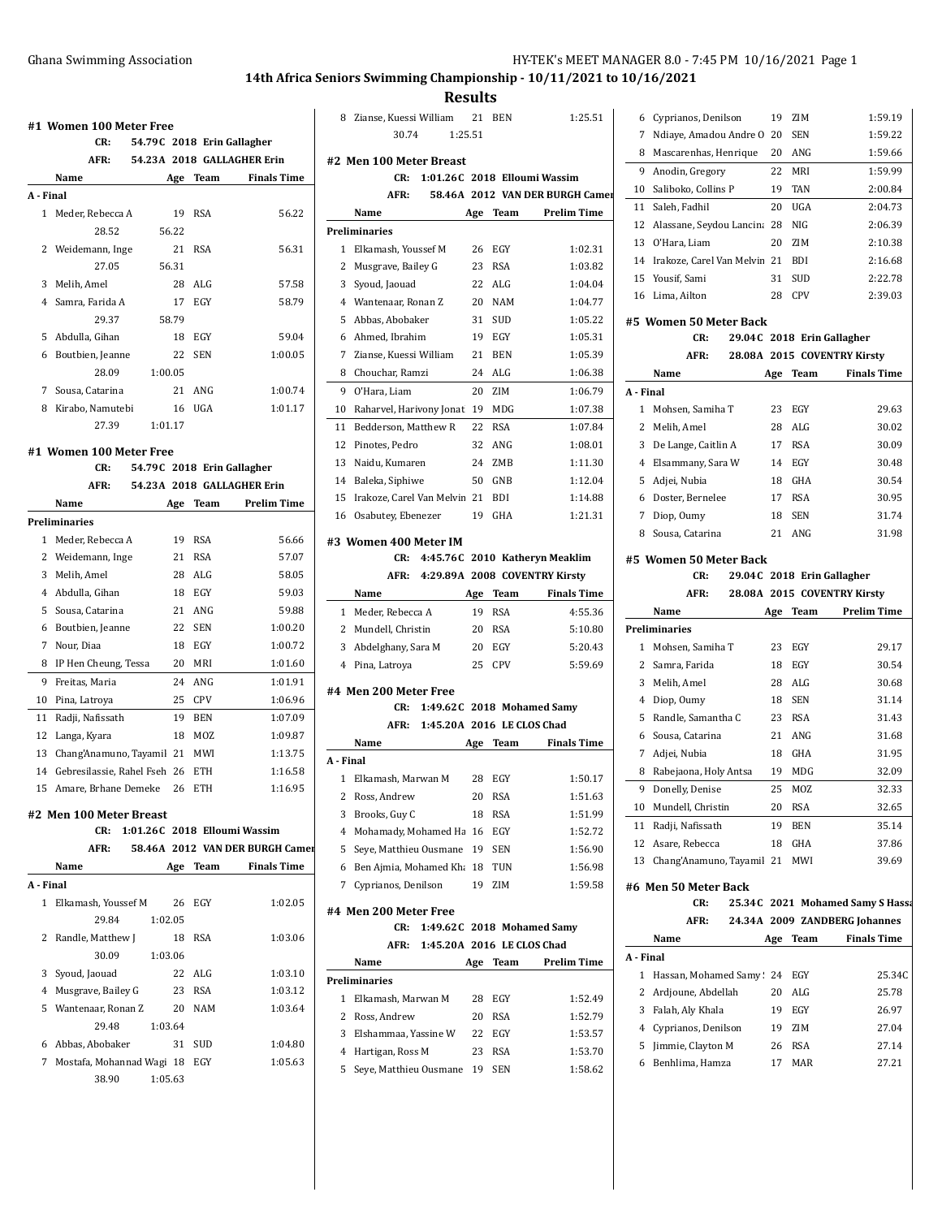**Results**

|              | CR:                            |         |         |            | 54.79C 2018 Erin Gallagher      |
|--------------|--------------------------------|---------|---------|------------|---------------------------------|
|              | AFR:                           |         |         |            | 54.23A 2018 GALLAGHER Erin      |
|              | Name                           |         | Age     | Team       | <b>Finals Time</b>              |
| A - Final    |                                |         |         |            |                                 |
| $\mathbf{1}$ | Meder, Rebecca A               |         | 19      | RSA        | 56.22                           |
|              | 28.52                          |         | 56.22   |            |                                 |
| 2            | Weidemann, Inge                |         | 21      | <b>RSA</b> | 56.31                           |
|              | 27.05                          |         | 56.31   |            |                                 |
|              | 3 Melih, Amel                  |         | 28      | ALG        | 57.58                           |
|              | 4 Samra, Farida A              |         | 17      | EGY        | 58.79                           |
|              | 29.37                          |         | 58.79   |            |                                 |
|              | 5 Abdulla, Gihan               |         | 18      | EGY        | 59.04                           |
|              | 6 Boutbien, Jeanne             |         | 22      | SEN        | 1:00.05                         |
|              | 28.09                          |         | 1:00.05 |            |                                 |
| 7            | Sousa, Catarina                |         | 21      | ANG        | 1:00.74                         |
|              | 8 Kirabo, Namutebi             |         | 16      | <b>UGA</b> | 1:01.17                         |
|              | 27.39                          |         | 1:01.17 |            |                                 |
|              |                                |         |         |            |                                 |
|              | #1 Women 100 Meter Free<br>CR: |         |         |            | 54.79C 2018 Erin Gallagher      |
|              | AFR:                           |         |         |            | 54.23A 2018 GALLAGHER Erin      |
|              | Name                           |         |         |            | <b>Prelim Time</b>              |
|              | <b>Preliminaries</b>           |         |         | Age Team   |                                 |
|              |                                |         |         |            | 56.66                           |
| 1            | Meder, Rebecca A               |         | 19      | <b>RSA</b> |                                 |
|              | 2 Weidemann, Inge              |         | 21      | <b>RSA</b> | 57.07                           |
|              | 3 Melih, Amel                  |         | 28      | ALG        | 58.05                           |
|              | 4 Abdulla, Gihan               |         | 18      | EGY        | 59.03                           |
| 5            | Sousa, Catarina                |         | 21      | ANG        | 59.88                           |
| 6            | Boutbien, Jeanne               |         | 22      | SEN        | 1:00.20                         |
| 7            | Nour, Diaa                     |         | 18      | EGY        | 1:00.72                         |
| 8            | IP Hen Cheung, Tessa           |         | 20      | MRI        | 1:01.60                         |
| 9            | Freitas, Maria                 |         | 24      | ANG        | 1:01.91                         |
| 10           | Pina, Latroya                  |         | 25      | CPV        | 1:06.96                         |
|              | 11 Radji, Nafissath            |         |         | 19 BEN     | 1:07.09                         |
| 12           | Langa, Kyara                   |         | 18      | MOZ        | 1:09.87                         |
| 13           | Chang'Anamuno, Tayamil 21      |         |         | MWI        | 1:13.75                         |
| 14           | Gebresilassie, Rahel Fseh 26   |         |         | ETH        | 1:16.58                         |
| 15           | Amare, Brhane Demeke           |         | 26      | ETH        | 1:16.95                         |
|              | #2 Men 100 Meter Breast        |         |         |            |                                 |
|              | CR:                            |         |         |            | 1:01.26C 2018 Elloumi Wassim    |
|              | AFR:                           |         |         |            | 58.46A 2012 VAN DER BURGH Camer |
|              | Name                           |         |         |            | Age Team Finals Time            |
| A - Final    |                                |         |         |            |                                 |
| $\mathbf{1}$ | Elkamash, Youssef M            |         | 26      | EGY        | 1:02.05                         |
|              | 29.84                          |         | 1:02.05 |            |                                 |
| 2            | Randle, Matthew J              |         | 18      | <b>RSA</b> | 1:03.06                         |
|              | 30.09                          |         | 1:03.06 |            |                                 |
| 3            | Syoud, Jaouad                  |         | 22      | ALG        | 1:03.10                         |
| 4            | Musgrave, Bailey G             |         | 23      | RSA        | 1:03.12                         |
| 5            | Wantenaar, Ronan Z             |         | 20      | NAM        | 1:03.64                         |
|              | 29.48                          |         | 1:03.64 |            |                                 |
|              | 6 Abbas, Abobaker              |         | 31      | <b>SUD</b> | 1:04.80                         |
| $7^{\circ}$  | Mostafa, Mohannad Wagi 18      |         |         | EGY        | 1:05.63                         |
|              | 38.90                          | 1:05.63 |         |            |                                 |
|              |                                |         |         |            |                                 |

|                | 8 Zianse, Kuessi William 21         |     | <b>BEN</b>                 | 1:25.51                         |
|----------------|-------------------------------------|-----|----------------------------|---------------------------------|
|                | 30.74<br>1:25.51                    |     |                            |                                 |
|                |                                     |     |                            |                                 |
|                | #2 Men 100 Meter Breast             |     |                            |                                 |
|                | 1:01.26C 2018 Elloumi Wassim<br>CR: |     |                            |                                 |
|                | AFR:                                |     |                            | 58.46A 2012 VAN DER BURGH Camer |
|                | Name                                |     | Age Team                   | <b>Prelim Time</b>              |
|                | Preliminaries                       |     |                            |                                 |
| 1              | Elkamash, Youssef M                 | 26  | EGY                        | 1:02.31                         |
| 2              | Musgrave, Bailey G                  | 23  | <b>RSA</b>                 | 1:03.82                         |
| 3              | Syoud, Jaouad                       | 22  | ALG                        | 1:04.04                         |
| 4              | Wantenaar, Ronan Z                  | 20  | <b>NAM</b>                 | 1:04.77                         |
| 5              | Abbas, Abobaker                     | 31  | <b>SUD</b>                 | 1:05.22                         |
|                | 6 Ahmed, Ibrahim                    | 19  | EGY                        | 1:05.31                         |
| 7              | Zianse, Kuessi William              | 21  | <b>BEN</b>                 | 1:05.39                         |
| 8              | Chouchar, Ramzi                     | 24  | ALG                        | 1:06.38                         |
| 9              | O'Hara, Liam                        | 20  | ZIM                        | 1:06.79                         |
| 10             | Raharvel, Harivony Jonat 19         |     | MDG                        | 1:07.38                         |
| 11             | Bedderson, Matthew R                | 22  | RSA                        | 1:07.84                         |
|                | 12 Pinotes, Pedro                   | 32  | ANG                        | 1:08.01                         |
| 13             | Naidu, Kumaren                      | 24  | ZMB                        | 1:11.30                         |
| 14             | Baleka, Siphiwe                     | 50  | GNB                        | 1:12.04                         |
| 15             | Irakoze, Carel Van Melvin 21        |     | BDI                        | 1:14.88                         |
|                | 16 Osabutey, Ebenezer               | 19  | GHA                        | 1:21.31                         |
|                | #3 Women 400 Meter IM               |     |                            |                                 |
|                | CR:                                 |     |                            | 4:45.76C 2010 Katheryn Meaklim  |
|                | AFR:                                |     |                            | 4:29.89A 2008 COVENTRY Kirsty   |
|                | Name                                | Age | Team                       | <b>Finals Time</b>              |
|                | 1 Meder, Rebecca A                  | 19  | <b>RSA</b>                 | 4:55.36                         |
|                |                                     |     |                            |                                 |
|                | 2 Mundell, Christin                 | 20  | RSA                        | 5:10.80                         |
| 3              | Abdelghany, Sara M                  | 20  | EGY                        | 5:20.43                         |
| $\overline{4}$ | Pina, Latroya                       | 25  | <b>CPV</b>                 | 5:59.69                         |
|                |                                     |     |                            |                                 |
|                | #4 Men 200 Meter Free               |     |                            |                                 |
|                | CR:<br>1:49.62C 2018 Mohamed Samy   |     |                            |                                 |
|                | 1:45.20A 2016 LE CLOS Chad<br>AFR:  |     |                            |                                 |
|                | Name                                |     | Age Team                   | <b>Finals Time</b>              |
| A - Final      |                                     |     |                            |                                 |
| 1              | Elkamash, Marwan M                  | 28  | EGY                        | 1:50.17                         |
|                | 2 Ross, Andrew                      |     | 20 RSA                     | 1:51.63                         |
| 3              | Brooks, Guy C                       | 18  | <b>RSA</b>                 | 1:51.99                         |
| $\overline{4}$ | Mohamady, Mohamed Ha 16             |     | EGY                        | 1:52.72                         |
| 5              | Seye, Matthieu Ousmane 19           |     | SEN                        | 1:56.90                         |
|                | 6 Ben Ajmia, Mohamed Kha 18         |     | TUN                        | 1:56.98                         |
| 7              | Cyprianos, Denilson                 | 19  | ZIM                        | 1:59.58                         |
|                | #4 Men 200 Meter Free               |     |                            |                                 |
|                | CR:<br>1:49.62C 2018 Mohamed Samy   |     |                            |                                 |
|                | AFR:                                |     | 1:45.20A 2016 LE CLOS Chad |                                 |
|                | Name                                | Age | Team                       | <b>Prelim Time</b>              |
|                | <b>Preliminaries</b>                |     |                            |                                 |
| 1              | Elkamash, Marwan M                  | 28  | EGY                        | 1:52.49                         |
|                | 2 Ross, Andrew                      | 20  | <b>RSA</b>                 | 1:52.79                         |
| 3              | Elshammaa, Yassine W                | 22  | EGY                        | 1:53.57                         |
| 4              | Hartigan, Ross M                    | 23  | RSA                        | 1:53.70                         |
| 5              | Seye, Matthieu Ousmane 19           |     | SEN                        | 1:58.62                         |

| 6  | Cyprianos, Denilson            | 19 | 7.IM                        | 1:59.19 |
|----|--------------------------------|----|-----------------------------|---------|
| 7  | Ndiaye, Amadou Andre O         | 20 | <b>SEN</b>                  | 1:59.22 |
| 8  | Mascarenhas, Henrique          |    | ANG                         | 1:59.66 |
| 9. | Anodin, Gregory                | 22 | MRI                         | 1:59.99 |
| 10 | Saliboko, Collins P            | 19 | <b>TAN</b>                  | 2:00.84 |
| 11 | Saleh, Fadhil                  | 20 | UGA                         | 2:04.73 |
|    | 12 Alassane, Seydou Lancina 28 |    | <b>NIG</b>                  | 2:06.39 |
| 13 | 0'Hara, Liam                   | 20 | 7.IM                        | 2:10.38 |
| 14 | Irakoze, Carel Van Melvin 21   |    | BDI                         | 2:16.68 |
|    | 15 Yousif. Sami                | 31 | <b>SUD</b>                  | 2:22.78 |
| 16 | Lima, Ailton                   | 28 | <b>CPV</b>                  | 2:39.03 |
|    | #5 Women 50 Meter Back         |    |                             |         |
|    | CR:                            |    | 29.04C 2018 Erin Gallagher  |         |
|    | AFR:                           |    | 28.08A 2015 COVENTRY Kirsty |         |

|         | Name                   | Age | Team                       | <b>Finals Time</b> |
|---------|------------------------|-----|----------------------------|--------------------|
| A Final |                        |     |                            |                    |
| 1       | Mohsen, Samiha T       | 23  | EGY                        | 29.63              |
|         | 2 Melih, Amel          |     | 28 ALG                     | 30.02              |
| 3       | De Lange, Caitlin A    | 17  | <b>RSA</b>                 | 30.09              |
|         | 4 Elsammany, Sara W    |     | 14 EGY                     | 30.48              |
| 5       | Adjei, Nubia           | 18  | GHA                        | 30.54              |
| 6       | Doster, Bernelee       | 17  | <b>RSA</b>                 | 30.95              |
| 7       | Diop, Oumy             | 18  | SEN                        | 31.74              |
| 8       | Sousa, Catarina        |     | $21$ ANG                   | 31.98              |
|         | #5 Women 50 Meter Back |     |                            |                    |
|         | CR:                    |     | 29.04C 2018 Erin Gallagher |                    |
|         |                        |     |                            |                    |

|    | AFR:                      |     | 28.08A 2015 COVENTRY Kirsty |                    |
|----|---------------------------|-----|-----------------------------|--------------------|
|    | Name                      | Age | Team                        | <b>Prelim Time</b> |
|    | <b>Preliminaries</b>      |     |                             |                    |
| 1  | Mohsen, Samiha T          | 23  | EGY                         | 29.17              |
| 2  | Samra, Farida             | 18  | EGY                         | 30.54              |
| 3  | Melih, Amel               | 28  | ALG                         | 30.68              |
| 4  | Diop, Oumy                | 18  | <b>SEN</b>                  | 31.14              |
| 5  | Randle, Samantha C        | 23  | <b>RSA</b>                  | 31.43              |
| 6  | Sousa, Catarina           | 21  | ANG                         | 31.68              |
| 7  | Adjei, Nubia              | 18  | GHA                         | 31.95              |
| 8  | Rabejaona, Holy Antsa     | 19  | MDG                         | 32.09              |
| 9  | Donelly, Denise           | 25  | MOZ                         | 32.33              |
| 10 | Mundell, Christin         | 20  | <b>RSA</b>                  | 32.65              |
| 11 | Radji, Nafissath          | 19  | <b>BEN</b>                  | 35.14              |
| 12 | Asare, Rebecca            | 18  | GHA                         | 37.86              |
| 13 | Chang'Anamuno, Tayamil 21 |     | MWI                         | 39.69              |

## **#6 Men 50 Meter Back**

| CR:  | 25.34C 2021 Mohamed Samy S Hassa |
|------|----------------------------------|
| AFR: | 24.34A 2009 ZANDBERG Johannes    |
|      |                                  |

|         | Name                    | Age | Team       | <b>Finals Time</b> |
|---------|-------------------------|-----|------------|--------------------|
| A Final |                         |     |            |                    |
| 1       | Hassan, Mohamed Samy:24 |     | EGY        | 25.34C             |
|         | 2 Ardjoune, Abdellah    | 20  | ALG        | 25.78              |
| 3       | Falah, Aly Khala        | 19  | EGY        | 26.97              |
|         | 4 Cyprianos, Denilson   | 19  | 7.IM       | 27.04              |
| 5       | Jimmie, Clayton M       | 26  | <b>RSA</b> | 27.14              |
| 6       | Benhlima, Hamza         | 17  | MAR        | 27.21              |
|         |                         |     |            |                    |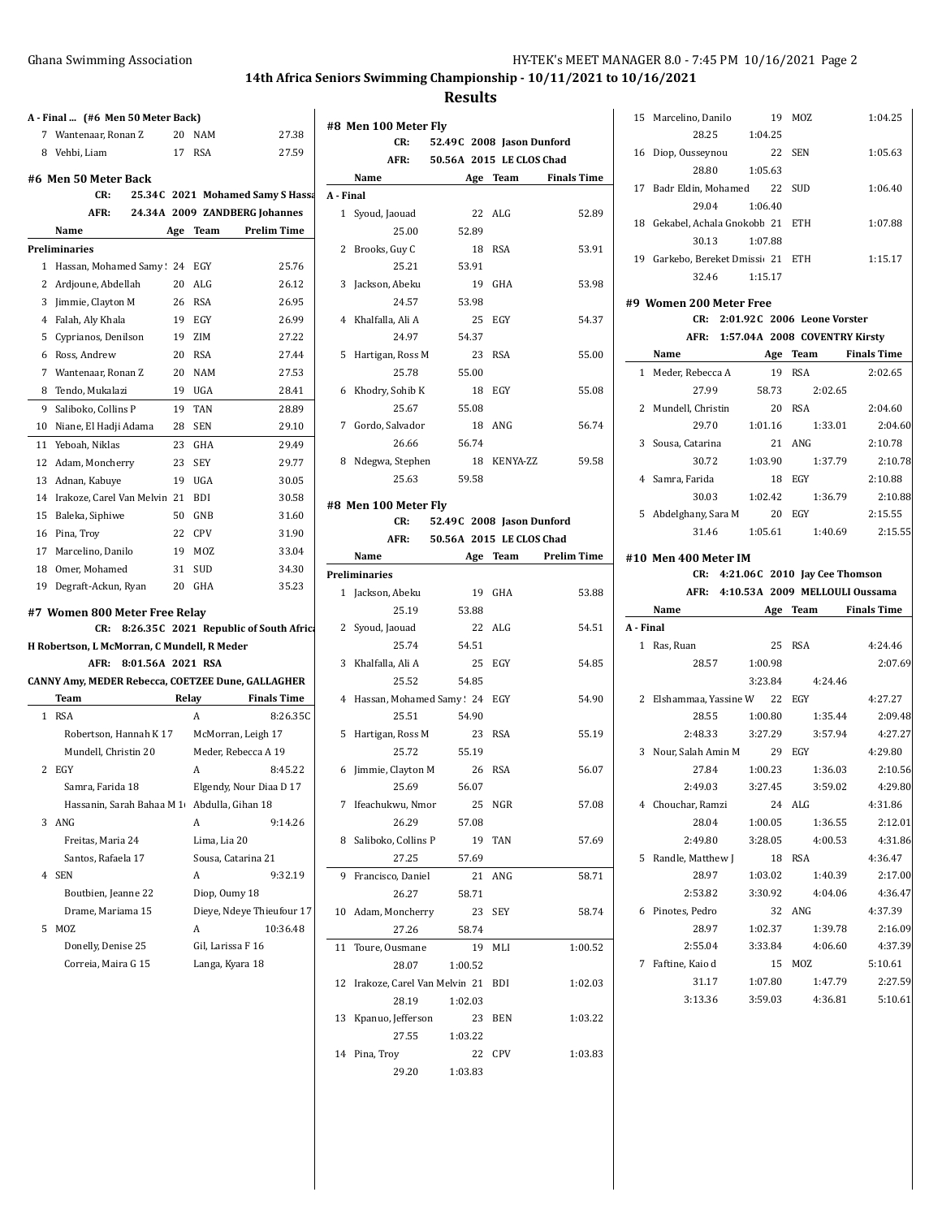$\overline{\phantom{a}}$ 

## **14th Africa Seniors Swimming Championship - 10/11/2021 to 10/16/2021**

## **Results**

 $\overline{1}$ 

| 7  |                                                           |                   | A - Final  (#6 Men 50 Meter Back) |                                      |                                       |
|----|-----------------------------------------------------------|-------------------|-----------------------------------|--------------------------------------|---------------------------------------|
|    | Wantenaar, Ronan Z                                        |                   | 20                                | NAM                                  | 27.38                                 |
|    | 8 Vehbi, Liam                                             |                   | 17                                | <b>RSA</b>                           | 27.59                                 |
|    |                                                           |                   |                                   |                                      |                                       |
|    | #6 Men 50 Meter Back<br>CR:                               |                   |                                   |                                      | 25.34C 2021 Mohamed Samy S Hassa      |
|    | AFR:                                                      |                   |                                   |                                      | 24.34A 2009 ZANDBERG Johannes         |
|    | Name                                                      |                   |                                   | Team                                 | <b>Prelim Time</b>                    |
|    |                                                           |                   | Age                               |                                      |                                       |
|    | Preliminaries                                             |                   |                                   |                                      |                                       |
| 1  | Hassan, Mohamed Samy 24                                   |                   |                                   | EGY                                  | 25.76                                 |
|    | 2 Ardjoune, Abdellah                                      |                   | 20<br>26                          | ALG                                  | 26.12                                 |
| 3  | Jimmie, Clayton M                                         |                   |                                   | <b>RSA</b>                           | 26.95                                 |
|    | 4 Falah, Aly Khala                                        |                   | 19                                | EGY                                  | 26.99                                 |
|    | 5 Cyprianos, Denilson                                     |                   | 19                                | ZIM                                  | 27.22                                 |
|    | 6 Ross, Andrew                                            |                   | 20                                | <b>RSA</b>                           | 27.44                                 |
|    | 7 Wantenaar, Ronan Z                                      |                   | 20                                | <b>NAM</b>                           | 27.53                                 |
| 8  | Tendo, Mukalazi                                           |                   | 19                                | UGA                                  | 28.41                                 |
| 9  | Saliboko, Collins P                                       |                   | 19                                | <b>TAN</b>                           | 28.89                                 |
| 10 | Niane, El Hadji Adama                                     |                   | 28                                | SEN                                  | 29.10                                 |
| 11 | Yeboah, Niklas                                            |                   | 23                                | GHA                                  | 29.49                                 |
| 12 | Adam, Moncherry                                           |                   | 23                                | SEY                                  | 29.77                                 |
| 13 | Adnan, Kabuye                                             |                   | 19                                | UGA                                  | 30.05                                 |
|    | 14 Irakoze, Carel Van Melvin 21                           |                   |                                   | <b>BDI</b>                           | 30.58                                 |
| 15 | Baleka, Siphiwe                                           |                   | 50                                | GNB                                  | 31.60                                 |
|    | 16 Pina, Troy                                             |                   | 22                                | <b>CPV</b>                           | 31.90                                 |
| 17 | Marcelino, Danilo                                         |                   | 19                                | MOZ                                  | 33.04                                 |
|    |                                                           |                   |                                   |                                      |                                       |
| 18 | Omer, Mohamed                                             |                   | 31                                | SUD                                  | 34.30                                 |
| 19 | Degraft-Ackun, Ryan                                       |                   | 20                                | GHA                                  | 35.23                                 |
|    |                                                           |                   |                                   |                                      |                                       |
|    | #7 Women 800 Meter Free Relay                             |                   |                                   |                                      |                                       |
|    | CR:                                                       |                   |                                   |                                      | 8:26.35C 2021 Republic of South Afric |
|    | H Robertson, L McMorran, C Mundell, R Meder<br>AFR:       | 8:01.56A 2021 RSA |                                   |                                      |                                       |
|    |                                                           |                   |                                   |                                      |                                       |
|    | CANNY Amy, MEDER Rebecca, COETZEE Dune, GALLAGHER<br>Team |                   | Relay                             |                                      | <b>Finals Time</b>                    |
| 1  | <b>RSA</b>                                                |                   |                                   | A                                    | 8:26.35C                              |
|    | Robertson, Hannah K 17                                    |                   |                                   |                                      | McMorran, Leigh 17                    |
|    | Mundell, Christin 20                                      |                   |                                   |                                      | Meder, Rebecca A 19                   |
| 2  | EGY                                                       |                   |                                   | A                                    | 8:45.22                               |
|    | Samra, Farida 18                                          |                   |                                   |                                      |                                       |
|    |                                                           |                   |                                   |                                      | Elgendy, Nour Diaa D 17               |
| 3  | Hassanin, Sarah Bahaa M 1                                 |                   |                                   |                                      | Abdulla, Gihan 18                     |
|    | ANG                                                       |                   |                                   | A                                    | 9:14.26                               |
|    | Freitas, Maria 24                                         |                   |                                   | Lima, Lia 20                         |                                       |
|    | Santos, Rafaela 17                                        |                   |                                   |                                      | Sousa, Catarina 21                    |
| 4  | <b>SEN</b>                                                |                   |                                   | A                                    | 9:32.19                               |
|    | Boutbien, Jeanne 22                                       |                   |                                   | Diop, Oumy 18                        |                                       |
|    | Drame, Mariama 15                                         |                   |                                   |                                      | Dieye, Ndeye Thieufour 17             |
| 5  | <b>MOZ</b>                                                |                   |                                   | A                                    | 10:36.48                              |
|    | Donelly, Denise 25<br>Correia, Maira G 15                 |                   |                                   | Gil, Larissa F 16<br>Langa, Kyara 18 |                                       |

|              | #8 Men 100 Meter Fly             |                               |            |                      |
|--------------|----------------------------------|-------------------------------|------------|----------------------|
|              | CR:                              | 52.49C 2008 Jason Dunford     |            |                      |
|              | AFR:                             | 50.56A 2015 LE CLOS Chad      |            |                      |
|              | Name                             |                               |            | Age Team Finals Time |
|              | A - Final                        |                               |            |                      |
|              | 1 Syoud, Jaouad                  | 22                            | ALG        | 52.89                |
|              | 25.00                            | 52.89                         |            |                      |
| 2            | Brooks, Guy C                    | 18                            | <b>RSA</b> | 53.91                |
|              | 25.21                            | 53.91                         |            |                      |
| 3            | Jackson, Abeku                   | 19                            | GHA        | 53.98                |
|              | 24.57                            | 53.98                         |            |                      |
| 4            | Khalfalla, Ali A                 | 25                            | EGY        | 54.37                |
|              | 24.97                            | 54.37                         |            |                      |
| 5            | Hartigan, Ross M                 | 23                            | <b>RSA</b> | 55.00                |
|              | 25.78                            | 55.00                         |            |                      |
| 6            | Khodry, Sohib K                  | 18                            | EGY        | 55.08                |
|              | 25.67                            | 55.08                         |            |                      |
| 7            | Gordo, Salvador                  | 18                            | ANG        | 56.74                |
|              | 26.66                            | 56.74                         |            |                      |
| 8            | Ndegwa, Stephen                  | 18                            | KENYA-ZZ   | 59.58                |
|              | 25.63                            | 59.58                         |            |                      |
|              |                                  |                               |            |                      |
|              | #8 Men 100 Meter Fly             |                               |            |                      |
|              | CR:                              | 52.49C 2008 Jason Dunford     |            |                      |
|              |                                  | AFR: 50.56A 2015 LE CLOS Chad |            |                      |
|              | Name                             |                               |            | Age Team Prelim Time |
|              | <b>Preliminaries</b>             |                               |            |                      |
| $\mathbf{1}$ | Jackson, Abeku                   | 19                            | GHA        | 53.88                |
|              | 25.19                            | 53.88                         |            |                      |
| 2            | Syoud, Jaouad                    | 22                            | ALG        | 54.51                |
|              | 25.74                            | 54.51                         |            |                      |
| 3            | Khalfalla, Ali A                 | 25                            | EGY        | 54.85                |
|              | 25.52                            | 54.85                         |            |                      |
| 4            | Hassan, Mohamed Samy: 24 EGY     |                               |            | 54.90                |
|              | 25.51                            | 54.90                         |            |                      |
| 5            | Hartigan, Ross M                 | 23                            | RSA        | 55.19                |
|              | 25.72                            | 55.19                         |            |                      |
| 6            | Jimmie, Clayton M                | 26                            | RSA        | 56.07                |
|              | 25.69                            | 56.07                         |            |                      |
|              | 7 Ifeachukwu, Nmor 25            |                               | NGR        | 57.08                |
|              | 26.29                            | 57.08                         |            |                      |
| 8            | Saliboko, Collins P              | 19                            | <b>TAN</b> | 57.69                |
|              | 27.25                            | 57.69                         |            |                      |
| 9            | Francisco, Daniel                | 21                            | ANG        | 58.71                |
|              | 26.27                            | 58.71                         |            |                      |
| 10           | Adam, Moncherry                  | 23                            | <b>SEY</b> | 58.74                |
|              | 27.26                            | 58.74                         |            |                      |
| 11           | Toure, Ousmane                   | 19                            | MLI        | 1:00.52              |
|              | 28.07                            | 1:00.52                       |            |                      |
| 12           | Irakoze, Carel Van Melvin 21 BDI |                               |            | 1:02.03              |
|              | 28.19                            | 1:02.03                       |            |                      |
|              | 13 Kpanuo, Jefferson             |                               | 23 BEN     | 1:03.22              |
|              | 27.55                            | 1:03.22                       |            |                      |
| 14           | Pina, Troy                       |                               | 22 CPV     | 1:03.83              |
|              | 29.20                            | 1:03.83                       |            |                      |
|              |                                  |                               |            |                      |

|           | 15 Marcelino, Danilo                | 19                 | MOZ                               | 1:04.25                         |
|-----------|-------------------------------------|--------------------|-----------------------------------|---------------------------------|
|           | 28.25                               | 1:04.25            |                                   |                                 |
|           | 16 Diop, Ousseynou                  | 22 SEN             |                                   | 1:05.63                         |
|           | 28.80                               | 1:05.63            |                                   |                                 |
|           | 17 Badr Eldin, Mohamed 22 SUD       |                    |                                   | 1:06.40                         |
|           | 29.04                               | 1:06.40            |                                   |                                 |
|           | 18 Gekabel, Achala Gnokobb 21 ETH   |                    |                                   | 1:07.88                         |
|           | 30.13                               | 1:07.88            |                                   |                                 |
|           | 19 Garkebo, Bereket Dmissi 21 ETH   |                    |                                   | 1:15.17                         |
|           | 32.46 1:15.17                       |                    |                                   |                                 |
|           |                                     |                    |                                   |                                 |
|           | #9 Women 200 Meter Free             |                    |                                   |                                 |
|           |                                     |                    | CR: 2:01.92C 2006 Leone Vorster   |                                 |
|           | AFR: 1:57.04A 2008 COVENTRY Kirsty  |                    |                                   |                                 |
|           | Name Age Team Finals Time           |                    |                                   |                                 |
|           | 1 Meder, Rebecca A                  | 19 RSA             |                                   | 2:02.65                         |
|           | 27.99                               |                    | 58.73 2:02.65                     |                                 |
|           | 2 Mundell, Christin 20 RSA          |                    |                                   | 2:04.60                         |
|           | 29.70                               | 1:01.16            | 1:33.01                           | 2:04.60                         |
|           |                                     |                    | 21 ANG                            | 2:10.78                         |
|           | 3 Sousa, Catarina 2-1.03.90         |                    | 1:37.79                           | 2:10.78                         |
|           | 4 Samra, Farida                     |                    | 18 EGY                            | 2:10.88                         |
|           | 30.03                               | 1:02.42            | 1:36.79                           | 2:10.88                         |
|           | 5 Abdelghany, Sara M                | 20 EGY             |                                   | 2:15.55                         |
|           |                                     |                    | 31.46 1:05.61 1:40.69             | 2:15.55                         |
|           | #10 Men 400 Meter IM                |                    |                                   |                                 |
|           |                                     |                    | CR: 4:21.06C 2010 Jay Cee Thomson |                                 |
|           | AFR: 4:10.53A 2009 MELLOULI Oussama |                    |                                   |                                 |
|           | Name Age                            |                    |                                   | Team Finals Time                |
| A - Final |                                     |                    |                                   |                                 |
|           | 1 Ras, Ruan                         | 25                 | RSA                               | 4:24.46                         |
|           | 28.57 1:00.98                       |                    |                                   | 2:07.69                         |
|           |                                     | 3:23.84            | 4:24.46                           |                                 |
|           | 2 Elshammaa, Yassine W 22 EGY       |                    |                                   | 4:27.27                         |
|           | 28.55                               |                    |                                   |                                 |
|           |                                     | 1:00.80            | 1:35.44                           | 2:09.48                         |
|           | 2:48.33 3:27.29                     |                    | 3:57.94                           | 4:27.27                         |
|           | 3 Nour, Salah Amin M 29 EGY         |                    |                                   | 4:29.80                         |
|           |                                     |                    | 27.84 1:00.23 1:36.03             | 2:10.56                         |
|           |                                     |                    |                                   | 2.49.03 3:27.45 3:59.02 4:29.80 |
|           |                                     |                    |                                   |                                 |
|           | 4 Chouchar, Ramzi<br>28.04          |                    | 24 ALG                            | 4:31.86<br>2:12.01              |
|           | 2:49.80                             | 1:00.05<br>3:28.05 | 1:36.55<br>4:00.53                | 4:31.86                         |
|           |                                     |                    |                                   |                                 |
|           | 5 Randle, Matthew J                 |                    | 18 RSA                            | 4:36.47                         |
|           | 28.97                               | 1:03.02<br>3:30.92 | 1:40.39                           | 2:17.00                         |
|           | 2:53.82                             |                    | 4:04.06                           | 4:36.47                         |
|           | 6 Pinotes, Pedro                    |                    | 32 ANG                            | 4:37.39                         |
|           | 28.97                               | 1:02.37            | 1:39.78                           | 2:16.09                         |
|           | 2:55.04                             | 3:33.84            | 4:06.60                           | 4:37.39                         |
|           | 7 Faftine, Kaio d                   | 15                 | MOZ                               | 5:10.61                         |
|           | 31.17<br>3:13.36                    | 1:07.80<br>3:59.03 | 1:47.79<br>4:36.81                | 2:27.59<br>5:10.61              |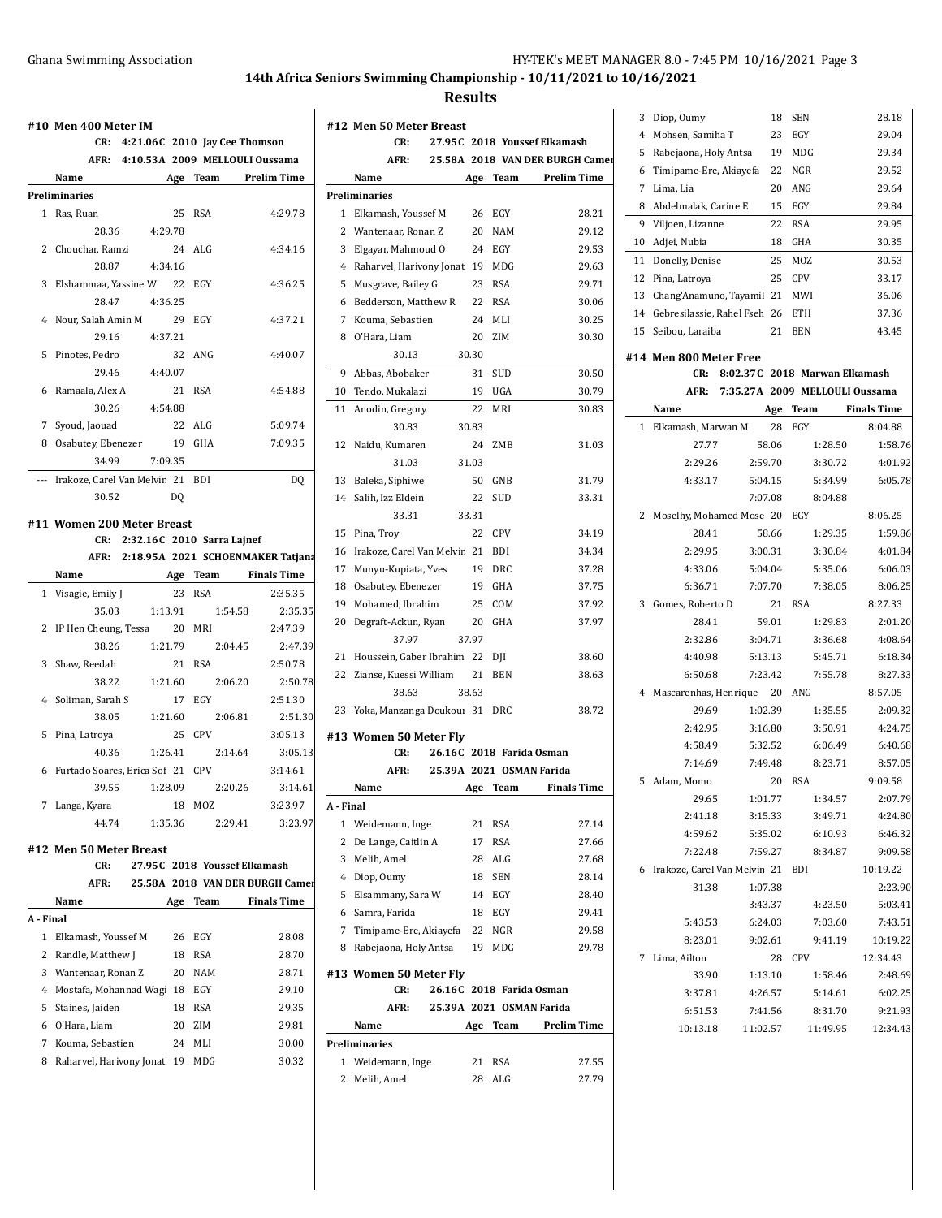**Results**

|              | CR: 4:21.06C 2010 Jay Cee Thomson |         |                |                                        |                    |
|--------------|-----------------------------------|---------|----------------|----------------------------------------|--------------------|
|              |                                   |         |                | AFR: 4:10.53A 2009 MELLOULI Oussama    |                    |
|              | Name                              |         | Age            | Team                                   | <b>Prelim Time</b> |
|              | Preliminaries                     |         |                |                                        |                    |
| 1            | Ras, Ruan                         |         | 25             | <b>RSA</b>                             | 4:29.78            |
|              | 28.36                             | 4:29.78 |                |                                        |                    |
| 2            | Chouchar, Ramzi                   |         | 24             | ALG                                    | 4:34.16            |
|              | 28.87                             | 4:34.16 |                |                                        |                    |
| 3            | Elshammaa, Yassine W 22 EGY       |         |                |                                        | 4:36.25            |
|              | 28.47                             | 4:36.25 |                |                                        |                    |
|              | 4 Nour, Salah Amin M              |         |                | 29 EGY                                 | 4:37.21            |
|              | 29.16                             | 4:37.21 |                |                                        |                    |
| 5            | Pinotes, Pedro                    |         | 32             | ANG                                    | 4:40.07            |
|              | 29.46                             | 4:40.07 |                |                                        |                    |
| 6            | Ramaala, Alex A                   |         | 21             | <b>RSA</b>                             | 4:54.88            |
|              | 30.26                             | 4:54.88 |                |                                        |                    |
|              | 7 Syoud, Jaouad                   |         |                | 22 ALG                                 | 5:09.74            |
| 8            | Osabutey, Ebenezer                |         | 19             | GHA                                    | 7:09.35            |
|              | 34.99                             | 7:09.35 |                |                                        |                    |
| ---          | Irakoze, Carel Van Melvin 21 BDI  |         |                |                                        | DQ                 |
|              | 30.52                             |         | D <sub>0</sub> |                                        |                    |
|              | #11 Women 200 Meter Breast        |         |                |                                        |                    |
|              | CR:                               |         |                | 2:32.16C 2010 Sarra Lajnef             |                    |
|              |                                   |         |                | AFR: 2:18.95A 2021 SCHOENMAKER Tatjana |                    |
|              | Name                              |         |                | Age Team Finals Time                   |                    |
|              | 1 Visagie, Emily J                |         |                | 23 RSA                                 | 2:35.35            |
|              | 35.03                             | 1:13.91 |                | 1:54.58                                | 2:35.35            |
| 2            | IP Hen Cheung, Tessa              |         |                | 20 MRI                                 | 2:47.39            |
|              | 38.26                             | 1:21.79 |                | 2:04.45                                | 2:47.39            |
| 3            | Shaw, Reedah                      |         |                | 21 RSA                                 | 2:50.78            |
|              | 38.22                             | 1:21.60 |                | 2:06.20                                | 2:50.78            |
| 4            | Soliman, Sarah S                  |         |                | 17 EGY                                 | 2:51.30            |
|              | 38.05                             | 1:21.60 |                | 2:06.81                                | 2:51.30            |
| 5            | Pina, Latroya                     |         |                | 25 CPV                                 | 3:05.13            |
|              | 40.36                             | 1:26.41 |                |                                        |                    |
|              |                                   |         |                |                                        |                    |
|              |                                   |         |                | 2:14.64                                | 3:05.13            |
| 6            | Furtado Soares, Erica Sof 21 CPV  |         |                |                                        | 3:14.61            |
|              | 1:28.09<br>39.55                  |         |                | 2:20.26                                | 3:14.61            |
| 7            | Langa, Kyara                      |         | 18             | <b>MOZ</b>                             | 3:23.97            |
|              | 44.74                             | 1:35.36 |                | 2:29.41                                | 3:23.97            |
|              | #12 Men 50 Meter Breast           |         |                |                                        |                    |
|              | CR:                               |         |                | 27.95C 2018 Youssef Elkamash           |                    |
|              | AFR:                              |         |                | 25.58A 2018 VAN DER BURGH Camer        |                    |
|              | Name                              |         |                | Age Team                               | <b>Finals Time</b> |
|              | A - Final                         |         |                |                                        |                    |
| $\mathbf{1}$ | Elkamash, Youssef M               |         | 26             | EGY                                    | 28.08              |
| 2            | Randle, Matthew J                 |         | 18             | <b>RSA</b>                             | 28.70              |
| 3            | Wantenaar, Ronan Z                |         | 20             | NAM                                    | 28.71              |
| 4            | Mostafa, Mohannad Wagi 18 EGY     |         |                |                                        | 29.10              |
| 5            | Staines, Jaiden                   |         | 18             | <b>RSA</b>                             | 29.35              |
| 6            | O'Hara, Liam                      |         | 20             | ZIM                                    | 29.81              |
| 7            | Kouma, Sebastien                  |         | 24             | MLI                                    | 30.00              |

|              | #12 Men 50 Meter Breast       |       |            |                                 |
|--------------|-------------------------------|-------|------------|---------------------------------|
|              | CR:                           |       |            | 27.95C 2018 Youssef Elkamash    |
|              | AFR:                          |       |            | 25.58A 2018 VAN DER BURGH Camer |
|              | Name                          |       | Age Team   | <b>Prelim Time</b>              |
|              | <b>Preliminaries</b>          |       |            |                                 |
| 1            | Elkamash, Youssef M           | 26    | EGY        | 28.21                           |
| 2            | Wantenaar, Ronan Z            | 20    | <b>NAM</b> | 29.12                           |
| 3            | Elgayar, Mahmoud O            | 24    | EGY        | 29.53                           |
|              | 4 Raharvel, Harivony Jonat 19 |       | MDG        | 29.63                           |
| 5            | Musgrave, Bailey G            | 23    | <b>RSA</b> | 29.71                           |
| 6            | Bedderson, Matthew R          | 22    | <b>RSA</b> | 30.06                           |
| 7            | Kouma, Sebastien              | 24    | MLI        | 30.25                           |
| 8            | O'Hara, Liam                  | 20    | ZIM        | 30.30                           |
|              | 30.13                         | 30.30 |            |                                 |
| 9            | Abbas, Abobaker               | 31    | SUD        | 30.50                           |
|              | 10 Tendo, Mukalazi            | 19    | UGA        | 30.79                           |
| 11           | Anodin, Gregory               | 22    | MRI        | 30.83                           |
|              | 30.83                         | 30.83 |            |                                 |
| 12           | Naidu, Kumaren                | 24    | ZMB        | 31.03                           |
|              |                               |       |            |                                 |
|              | 31.03                         | 31.03 |            |                                 |
| 13           | Baleka, Siphiwe               | 50    | GNB        | 31.79                           |
|              | 14 Salih, Izz Eldein          | 22    | SUD        | 33.31                           |
|              | 33.31                         | 33.31 |            |                                 |
|              | 15 Pina, Troy                 | 22    | <b>CPV</b> | 34.19                           |
| 16           | Irakoze, Carel Van Melvin 21  |       | BDI        | 34.34                           |
| 17           | Munyu-Kupiata, Yves           | 19    | <b>DRC</b> | 37.28                           |
| 18           | Osabutey, Ebenezer            | 19    | GHA        | 37.75                           |
| 19           | Mohamed, Ibrahim              | 25    | COM        | 37.92                           |
| 20           | Degraft-Ackun, Ryan           | 20    | GHA        | 37.97                           |
|              | 37.97                         | 37.97 |            |                                 |
| 21           | Houssein, Gaber Ibrahim 22    |       | DJI        | 38.60                           |
| 22           | Zianse, Kuessi William        | 21    | <b>BEN</b> | 38.63                           |
|              | 38.63                         | 38.63 |            |                                 |
| 23           | Yoka, Manzanga Doukour 31     |       | DRC        | 38.72                           |
|              | #13 Women 50 Meter Fly        |       |            |                                 |
|              | CR:                           |       |            | 26.16C 2018 Farida Osman        |
|              | AFR:                          |       |            | 25.39A 2021 OSMAN Farida        |
|              | Name                          |       | Age Team   | <b>Finals Time</b>              |
| A - Final    |                               |       |            |                                 |
| $\mathbf{1}$ | Weidemann, Inge               | 21    | RSA        | 27.14                           |
| 2            | De Lange, Caitlin A           | 17    | RSA        | 27.66                           |
| 3            | Melih, Amel                   | 28    | ALG        | 27.68                           |
| 4            | Diop, Oumy                    | 18    | <b>SEN</b> | 28.14                           |
| 5            | Elsammany, Sara W             | 14    | EGY        | 28.40                           |
|              | 6 Samra, Farida               | 18    | EGY        | 29.41                           |
|              | 7 Timipame-Ere, Akiayefa      | 22    | NGR        | 29.58                           |
| 8            | Rabejaona, Holy Antsa         | 19    | MDG        | 29.78                           |
|              |                               |       |            |                                 |
|              | #13 Women 50 Meter Fly        |       |            |                                 |
|              | CR:                           |       |            | 26.16C 2018 Farida Osman        |
|              | AFR:                          |       |            | 25.39A 2021 OSMAN Farida        |
|              | Name                          | Age   | Team       | <b>Prelim Time</b>              |
|              | Preliminaries                 |       |            |                                 |
| 1            | Weidemann, Inge               | 21    | RSA        | 27.55                           |
|              | 2 Melih, Amel                 | 28    | ALG        | 27.79                           |
|              |                               |       |            |                                 |

|    |              | 3 Diop, Oumy                       |                                | 18                 | <b>SEN</b> |                    | 28.18              |
|----|--------------|------------------------------------|--------------------------------|--------------------|------------|--------------------|--------------------|
|    | 4            | Mohsen, Samiha T                   |                                | 23                 | EGY        |                    | 29.04              |
|    | 5            | Rabejaona, Holy Antsa              |                                | 19                 | MDG        |                    | 29.34              |
| 9I | 6            | Timipame-Ere, Akiayefa             |                                | 22                 | NGR        |                    | 29.52              |
|    | 7            | Lima, Lia                          |                                | 20                 | ANG        |                    | 29.64              |
|    |              | 8 Abdelmalak, Carine E             |                                | 15                 | EGY        |                    | 29.84              |
|    |              | 9 Viljoen, Lizanne                 |                                | 22                 | RSA        |                    | 29.95              |
|    |              | 10 Adjei, Nubia                    |                                | 18                 | GHA        |                    | 30.35              |
|    | 11           | Donelly, Denise                    |                                | 25                 | MOZ        |                    | 30.53              |
|    | 12           | Pina, Latrova                      |                                | 25                 | <b>CPV</b> |                    | 33.17              |
|    | 13           | Chang'Anamuno, Tayamil 21 MWI      |                                |                    |            |                    | 36.06              |
|    | 14           | Gebresilassie, Rahel Fseh 26       |                                |                    | ETH        |                    | 37.36              |
|    | 15           | Seibou, Laraiba                    |                                | 21                 | <b>BEN</b> |                    | 43.45              |
|    |              |                                    |                                |                    |            |                    |                    |
|    |              | #14 Men 800 Meter Free             |                                |                    |            |                    |                    |
|    |              | CR:                                | 8:02.37C 2018 Marwan Elkamash  |                    |            |                    |                    |
|    |              | AFR:                               | 7:35.27A 2009 MELLOULI Oussama |                    |            |                    |                    |
|    |              | Name                               |                                | Age                | Team       |                    | <b>Finals Time</b> |
|    | $\mathbf{1}$ | Elkamash, Marwan M                 |                                | 28                 | EGY        |                    | 8:04.88            |
|    |              | 27.77                              |                                | 58.06              |            | 1:28.50            | 1:58.76            |
|    |              | 2:29.26                            |                                | 2:59.70            |            | 3:30.72            | 4:01.92            |
|    |              | 4:33.17                            |                                | 5:04.15            |            | 5:34.99            | 6:05.78            |
|    |              |                                    |                                | 7:07.08            |            | 8:04.88            |                    |
|    | 2            | Moselhy, Mohamed Mose 20           |                                |                    | EGY        |                    | 8:06.25            |
|    |              | 28.41                              |                                | 58.66              |            | 1:29.35            | 1:59.86            |
|    |              | 2:29.95                            |                                | 3:00.31            |            | 3:30.84            | 4:01.84            |
|    |              | 4:33.06                            |                                | 5:04.04            |            | 5:35.06            | 6:06.03            |
|    |              | 6:36.71                            |                                | 7:07.70            |            | 7:38.05            | 8:06.25            |
|    | 3            | Gomes, Roberto D                   |                                | 21                 | <b>RSA</b> |                    | 8:27.33            |
|    |              | 28.41                              |                                | 59.01              |            | 1:29.83            | 2:01.20            |
|    |              | 2:32.86                            |                                | 3:04.71            |            | 3:36.68            | 4:08.64            |
|    |              | 4:40.98                            |                                | 5:13.13            |            | 5:45.71            | 6:18.34            |
|    |              | 6:50.68                            |                                | 7:23.42            |            | 7:55.78            | 8:27.33            |
|    | 4            | Mascarenhas, Henrique 20 ANG       |                                |                    |            |                    | 8:57.05            |
|    |              | 29.69                              |                                | 1:02.39            |            | 1:35.55            | 2:09.32            |
|    |              | 2:42.95                            |                                | 3:16.80            |            | 3:50.91            | 4:24.75            |
|    |              | 4:58.49                            |                                | 5:32.52            |            | 6:06.49            | 6:40.68            |
|    |              | 7:14.69                            |                                | 7:49.48            |            | 8:23.71            | 8:57.05            |
|    |              | 5 Adam. Momo                       |                                | 20                 | <b>RSA</b> |                    | 9:09.58            |
|    |              | 29.65                              |                                | 1:01.77            |            | 1:34.57            | 2:07.79            |
|    |              | 2:41.18                            |                                | 3:15.33            |            | 3:49.71            | 4:24.80            |
|    |              | 4:59.62                            |                                | 5:35.02<br>7:59.27 |            | 6:10.93            | 6:46.32<br>9:09.58 |
|    |              | 7:22.48                            |                                |                    |            | 8:34.87            | 10:19.22           |
|    |              | 6 Irakoze, Carel Van Melvin 21 BDI |                                | 1:07.38            |            |                    | 2:23.90            |
|    |              | 31.38                              |                                | 3:43.37            |            |                    |                    |
|    |              | 5:43.53                            |                                | 6:24.03            |            | 4:23.50<br>7:03.60 | 5:03.41<br>7:43.51 |
|    |              | 8:23.01                            |                                | 9:02.61            |            | 9:41.19            | 10:19.22           |
|    |              |                                    |                                |                    | 28 CPV     |                    | 12:34.43           |
|    |              | 7 Lima, Ailton<br>33.90            |                                | 1:13.10            |            | 1:58.46            | 2:48.69            |
|    |              | 3:37.81                            |                                | 4:26.57            |            |                    |                    |
|    |              | 6:51.53                            |                                | 7:41.56            |            | 5:14.61<br>8:31.70 | 6:02.25<br>9:21.93 |
|    |              | 10:13.18                           |                                |                    |            |                    |                    |
|    |              |                                    |                                | 11:02.57           |            | 11:49.95           | 12:34.43           |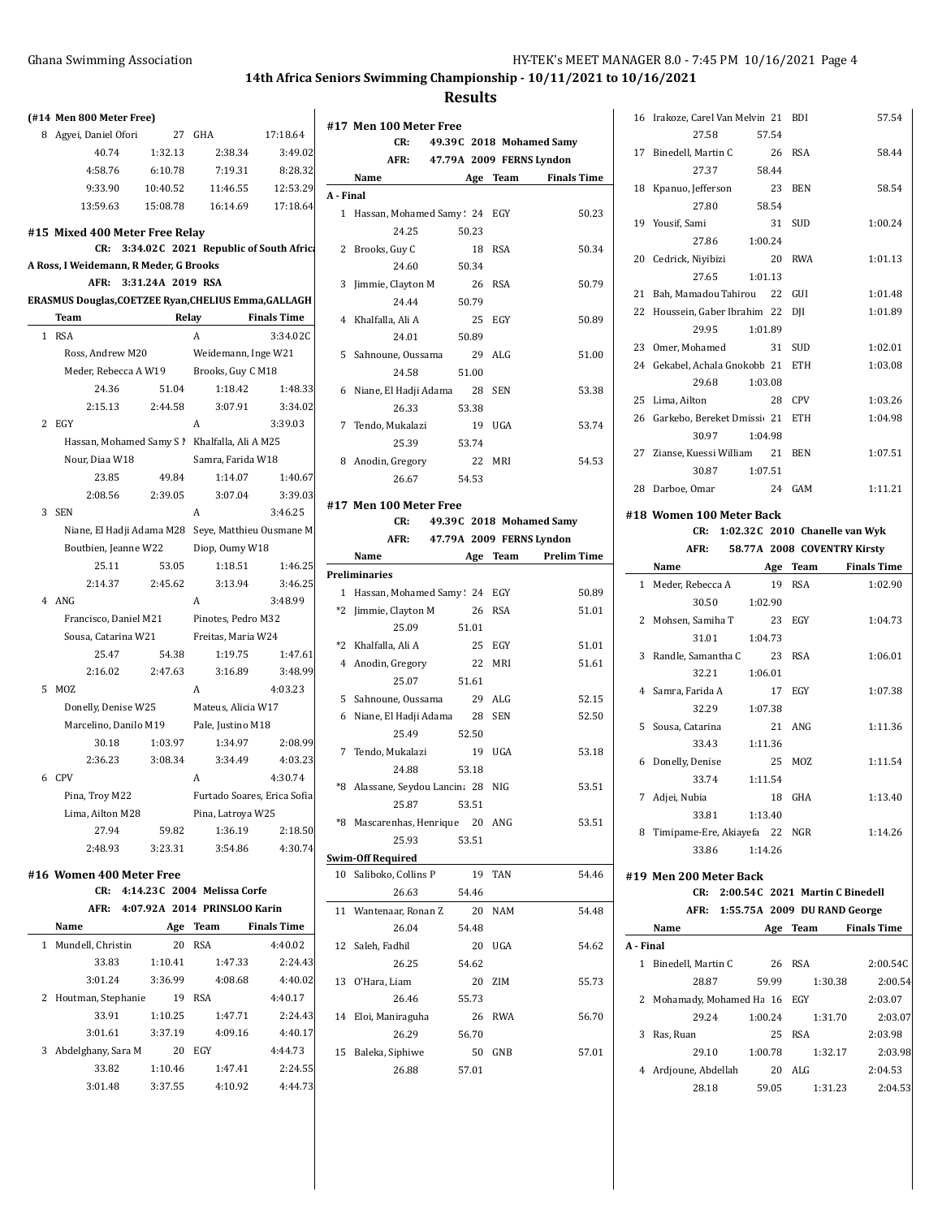**Results**

|  |  |  | (#14 Men 800 Meter Free) |  |
|--|--|--|--------------------------|--|
|--|--|--|--------------------------|--|

| 8 Agyei, Daniel Ofori | 27       | GHA      | 17:18.64 |
|-----------------------|----------|----------|----------|
| 40.74                 | 1:32.13  | 2:38.34  | 3:49.02  |
| 4:58.76               | 6:10.78  | 7:19.31  | 8:28.32  |
| 9:33.90               | 10:40.52 | 11:46.55 | 12:53.29 |
| 13:59.63              | 15:08.78 | 16:14.69 | 17:18.64 |
|                       |          |          |          |

### **#15 Mixed 400 Meter Free Relay**

|  |  |  | CR: 3:34.02C 2021 Republic of South Afric |
|--|--|--|-------------------------------------------|
|--|--|--|-------------------------------------------|

## **A Ross, I Weidemann, R Meder, G Brooks**

| AFR: 3:31.24A 2019 RSA |  |
|------------------------|--|

|                | Team                                               | Relay   |                             | <b>Finals Time</b> |
|----------------|----------------------------------------------------|---------|-----------------------------|--------------------|
| 1              | <b>RSA</b>                                         |         | A                           | 3:34.02C           |
|                | Ross, Andrew M20                                   |         | Weidemann, Inge W21         |                    |
|                | Meder, Rebecca A W19                               |         | Brooks, Guy C M18           |                    |
|                | 24.36                                              | 51.04   | 1:18.42                     | 1:48.33            |
|                | 2:15.13                                            | 2:44.58 | 3:07.91                     | 3:34.02            |
| $\overline{c}$ | EGY                                                |         | A                           | 3:39.03            |
|                | Hassan, Mohamed Samy S !                           |         | Khalfalla, Ali A M25        |                    |
|                | Nour, Diaa W18                                     |         | Samra, Farida W18           |                    |
|                | 23.85                                              | 49.84   | 1:14.07                     | 1:40.67            |
|                | 2:08.56                                            | 2:39.05 | 3:07.04                     | 3:39.03            |
| 3              | <b>SEN</b>                                         |         | A                           | 3:46.25            |
|                | Niane, El Hadji Adama M28 Seye, Matthieu Ousmane M |         |                             |                    |
|                | Boutbien, Jeanne W22                               |         | Diop, Oumy W18              |                    |
|                | 25.11                                              | 53.05   | 1:18.51                     | 1:46.25            |
|                | 2:14.37                                            | 2:45.62 | 3:13.94                     | 3:46.25            |
| 4              | ANG                                                |         | A                           | 3:48.99            |
|                | Francisco, Daniel M21                              |         | Pinotes, Pedro M32          |                    |
|                | Sousa, Catarina W21                                |         | Freitas, Maria W24          |                    |
|                | 25.47                                              | 54.38   | 1:19.75                     | 1:47.61            |
|                | 2:16.02                                            | 2:47.63 | 3:16.89                     | 3:48.99            |
| 5              | <b>MOZ</b>                                         |         | A                           | 4:03.23            |
|                | Donelly, Denise W25                                |         | Mateus, Alicia W17          |                    |
|                | Marcelino, Danilo M19                              |         | Pale, Justino M18           |                    |
|                | 30.18                                              | 1:03.97 | 1:34.97                     | 2:08.99            |
|                | 2:36.23                                            | 3:08.34 | 3:34.49                     | 4:03.23            |
|                | 6 CPV                                              |         | A                           | 4:30.74            |
|                | Pina, Troy M22                                     |         | Furtado Soares, Erica Sofia |                    |
|                | Lima, Ailton M28                                   |         | Pina, Latroya W25           |                    |
|                | 27.94                                              | 59.82   | 1:36.19                     | 2:18.50            |
|                | 2:48.93                                            | 3:23.31 | 3:54.86                     | 4:30.74            |
|                | #16 Women 400 Meter Free                           |         |                             |                    |

#### **CR: 4:14.23C 2004 Melissa Corfe**

|   | AFR:                 |         | 4:07.92A 2014 PRINSLOO Karin |                    |
|---|----------------------|---------|------------------------------|--------------------|
|   | Name                 | Age     | Team                         | <b>Finals Time</b> |
| 1 | Mundell, Christin    | 20      | <b>RSA</b>                   | 4:40.02            |
|   | 33.83                | 1:10.41 | 1:47.33                      | 2:24.43            |
|   | 3:01.24              | 3:36.99 | 4:08.68                      | 4:40.02            |
|   | 2 Houtman, Stephanie | 19      | <b>RSA</b>                   | 4:40.17            |
|   | 33.91                | 1:10.25 | 1:47.71                      | 2:24.43            |
|   | 3:01.61              | 3:37.19 | 4:09.16                      | 4:40.17            |
| 3 | Abdelghany, Sara M   | 20      | EGY                          | 4:44.73            |
|   | 33.82                | 1:10.46 | 1:47.41                      | 2:24.55            |
|   | 3:01.48              | 3:37.55 | 4:10.92                      | 4:44.73            |

|              | #17 Men 100 Meter Free   |       |            |                          |
|--------------|--------------------------|-------|------------|--------------------------|
|              | CR:                      |       |            | 49.39C 2018 Mohamed Samy |
|              | AFR:                     |       |            | 47.79A 2009 FERNS Lyndon |
|              | Name                     | Age   | Team       | <b>Finals Time</b>       |
| A - Final    |                          |       |            |                          |
| $\mathbf{1}$ | Hassan, Mohamed Samy: 24 |       | EGY        | 50.23                    |
|              | 24.25                    | 50.23 |            |                          |
| 2            | Brooks, Guy C            | 18    | <b>RSA</b> | 50.34                    |
|              | 24.60                    | 50.34 |            |                          |
| 3            | Jimmie, Clayton M        | 26    | RSA        | 50.79                    |
|              | 24 44                    | 50.79 |            |                          |
| 4            | Khalfalla, Ali A         |       | 25 EGY     | 50.89                    |
|              | 24.01                    | 50.89 |            |                          |
| 5            | Sahnoune, Oussama        | 29    | AI.G       | 51.00                    |
|              | 24.58                    | 51.00 |            |                          |
| 6            | Niane, El Hadji Adama    | 28    | <b>SEN</b> | 53.38                    |
|              | 26.33                    | 53.38 |            |                          |
| 7            | Tendo, Mukalazi          | 19    | UGA        | 53.74                    |
|              | 25.39                    | 53.74 |            |                          |
| 8            | Anodin, Gregory          | 22    | MRI        | 54.53                    |
|              | 26.67                    | 54.53 |            |                          |

#### **#17 Men 100 Meter Free CR: 49.39C 2018 Mohamed Samy**

# **AFR: 47.79A 2009 FERNS Lyndon**

|      | Name                            | Age   | Team       | <b>Prelim Time</b> |
|------|---------------------------------|-------|------------|--------------------|
|      | <b>Preliminaries</b>            |       |            |                    |
|      | 1 Hassan, Mohamed Samy: 24 EGY  |       |            | 50.89              |
| $*2$ | Jimmie, Clayton M               | 26    | <b>RSA</b> | 51.01              |
|      | 25.09                           | 51.01 |            |                    |
|      | *2 Khalfalla, Ali A             | 25    | EGY        | 51.01              |
|      | 4 Anodin, Gregory               | 22    | MRI        | 51.61              |
|      | 25.07                           | 51.61 |            |                    |
| 5    | Sahnoune, Oussama               | 29    | ALG        | 52.15              |
| 6    | Niane, El Hadji Adama           | 28    | <b>SEN</b> | 52.50              |
|      | 25.49                           | 52.50 |            |                    |
|      | 7 Tendo, Mukalazi               | 19    | UGA        | 53.18              |
|      | 24.88                           | 53.18 |            |                    |
| *8   | Alassane, Seydou Lancina 28 NIG |       |            | 53.51              |
|      | 25.87                           | 53.51 |            |                    |
| *8   | Mascarenhas, Henrique 20        |       | ANG        | 53.51              |
|      | 25.93                           | 53.51 |            |                    |
|      | <b>Swim-Off Required</b>        |       |            |                    |

## 10 Saliboko, Collins P 19 TAN 54.46 26.63 54.46 11 Wantenaar, Ronan Z 20 NAM 54.48 26.04 54.48 12 Saleh, Fadhil 20 UGA 54.62 26.25 54.62 13 O'Hara, Liam 20 ZIM 55.73 26.46 55.73 14 Eloi, Maniraguha 26 RWA 56.70 26.29 56.70 15 Baleka, Siphiwe 50 GNB 57.01 26.88 57.01

|    | 16 Irakoze, Carel Van Melvin 21 BDI |       |                                    | 57.54   |
|----|-------------------------------------|-------|------------------------------------|---------|
|    | 27.58                               | 57.54 |                                    |         |
|    | 26 RSA<br>17 Binedell, Martin C     |       |                                    | 58.44   |
|    | 27.37                               | 58.44 |                                    |         |
|    | 18 Kpanuo, Jefferson 23             |       | <b>BEN</b>                         | 58.54   |
|    | 27.80<br>58.54                      |       |                                    |         |
|    | 19 Yousif, Sami                     | 31    | <b>SUD</b>                         | 1:00.24 |
|    | 27.86 1:00.24                       |       |                                    |         |
|    | 20 Cedrick, Nivibizi<br>$\sim$ 20   |       | <b>RWA</b>                         | 1:01.13 |
|    | 27.65 1:01.13                       |       |                                    |         |
| 21 | Bah, Mamadou Tahirou 22 GUI         |       |                                    | 1:01.48 |
|    | 22 Houssein, Gaber Ibrahim 22       |       | DII                                | 1:01.89 |
|    | 1:01.89<br>29.95                    |       |                                    |         |
|    | 23 Omer, Mohamed 31                 |       | <b>SUD</b>                         | 1:02.01 |
|    | 24 Gekabel, Achala Gnokobb 21       |       | <b>ETH</b>                         | 1:03.08 |
|    | 1:03.08<br>29.68                    |       |                                    |         |
|    | 25 Lima, Ailton                     |       | 28 CPV                             | 1:03.26 |
|    | 26 Garkebo, Bereket Dmissi 21 ETH   |       |                                    | 1:04.98 |
|    | 30.97<br>1:04.98                    |       |                                    |         |
|    | 27 Zianse, Kuessi William 21        |       | <b>BEN</b>                         | 1:07.51 |
|    | 1:07.51<br>30.87                    |       |                                    |         |
|    | 24<br>28 Darboe, Omar               |       | GAM                                | 1:11.21 |
|    | #18 Women 100 Meter Back            |       |                                    |         |
|    |                                     |       | CR: 1:02.32C 2010 Chanelle van Wyk |         |
|    |                                     |       |                                    |         |

#### **AFR: 58.77A 2008 COVENTRY Kirsty**

|   | лгк.                      |         |            | 30.77A ZUUO COVENIKI KIISIV |
|---|---------------------------|---------|------------|-----------------------------|
|   | Name                      | Age     | Team       | <b>Finals Time</b>          |
|   | 1 Meder, Rebecca A        | 19      | <b>RSA</b> | 1:02.90                     |
|   | 30.50                     | 1:02.90 |            |                             |
|   | 2 Mohsen, Samiha T        | 23      | EGY        | 1:04.73                     |
|   | 31.01                     | 1:04.73 |            |                             |
| 3 | Randle, Samantha C        | 23      | <b>RSA</b> | 1:06.01                     |
|   | 32.21                     | 1:06.01 |            |                             |
|   | 4 Samra, Farida A         | 17      | EGY        | 1:07.38                     |
|   | 32.29                     | 1:07.38 |            |                             |
|   | 5 Sousa, Catarina         | 21      | ANG        | 1:11.36                     |
|   | 33.43                     | 1:11.36 |            |                             |
| 6 | Donelly, Denise           | 25      | MOZ        | 1:11.54                     |
|   | 33.74                     | 1:11.54 |            |                             |
| 7 | Adjei, Nubia              | 18      | GHA        | 1:13.40                     |
|   | 33.81                     | 1:13.40 |            |                             |
| 8 | Timipame-Ere, Akiayefa 22 |         | NGR        | 1:14.26                     |
|   | 33.86                     | 1:14.26 |            |                             |

#### **#19 Men 200 Meter Back**

#### **CR: 2:00.54C 2021 Martin C Binedell**

|  | AFR: 1:55.75A 2009 DU RAND George |
|--|-----------------------------------|
|  |                                   |

|         | Name                      | Age     | Team       | <b>Finals Time</b> |
|---------|---------------------------|---------|------------|--------------------|
| A Final |                           |         |            |                    |
| 1       | Binedell, Martin C        | 26      | <b>RSA</b> | 2:00.54C           |
|         | 28.87                     | 59.99   | 1:30.38    | 2:00.54            |
|         | 2 Mohamady, Mohamed Ha 16 |         | EGY        | 2:03.07            |
|         | 29.24                     | 1:00.24 | 1:31.70    | 2:03.07            |
| 3       | Ras, Ruan                 | 25      | <b>RSA</b> | 2:03.98            |
|         | 29.10                     | 1:00.78 | 1:32.17    | 2:03.98            |
| 4       | Ardjoune, Abdellah        | 20      | AI.G       | 2:04.53            |
|         | 28.18                     | 59.05   | 1:31.23    | 2:04.53            |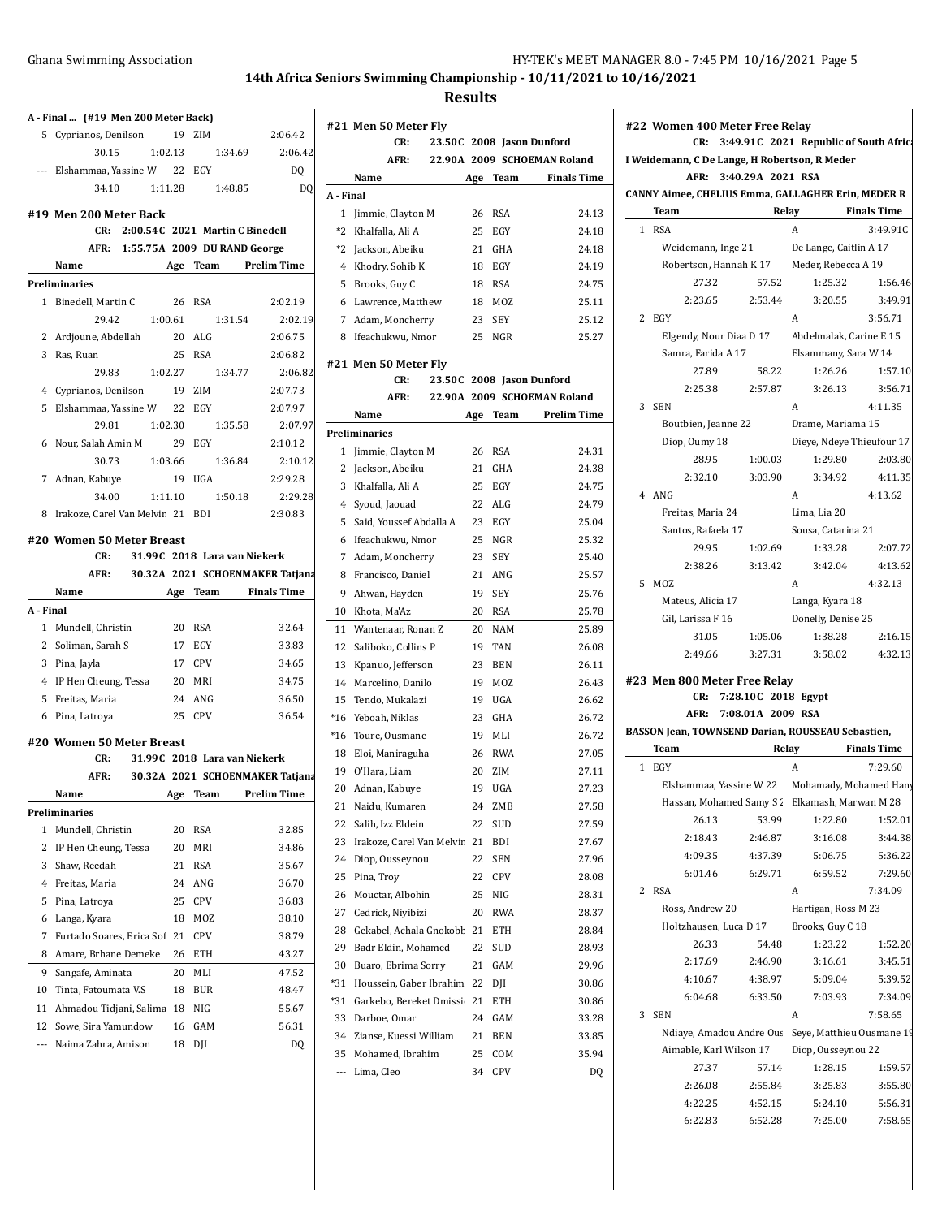**Results**

|                | A - Final  (#19 Men 200 Meter Back)                           |          |                              |                                 | ŧ |
|----------------|---------------------------------------------------------------|----------|------------------------------|---------------------------------|---|
|                | 5 Cyprianos, Denilson                                         |          | 19 ZIM                       | 2:06.42                         |   |
|                | 30.15<br>1:02.13                                              |          | 1:34.69                      | 2:06.42                         |   |
|                | --- Elshammaa, Yassine W 22 EGY                               |          |                              | DQ                              |   |
|                | 34.10                                                         |          | 1:11.28 1:48.85              | DQ                              |   |
|                |                                                               |          |                              |                                 |   |
|                | #19 Men 200 Meter Back<br>CR: 2:00.54C 2021 Martin C Binedell |          |                              |                                 |   |
|                | AFR: 1:55.75A 2009 DU RAND George                             |          |                              |                                 |   |
|                | Name<br>Age Team                                              |          |                              | Prelim Time                     |   |
|                | Preliminaries                                                 |          |                              |                                 |   |
|                | 1 Binedell, Martin C                                          | 26       | RSA                          | 2:02.19                         |   |
|                | 29.42<br>1:00.61                                              |          | 1:31.54                      | 2:02.19                         |   |
|                | 2 Ardjoune, Abdellah                                          |          | 20 ALG                       | 2:06.75                         |   |
|                | 3 Ras, Ruan                                                   | 25       | RSA                          | 2:06.82                         |   |
|                | 1:02.27<br>29.83                                              |          | 1:34.77                      | 2:06.82                         | ŧ |
|                |                                                               |          | 19 ZIM                       | 2:07.73                         |   |
|                | 4 Cyprianos, Denilson                                         |          |                              |                                 |   |
|                | 5 Elshammaa, Yassine W                                        |          | 22 EGY                       | 2:07.97<br>2:07.97              |   |
|                | 29.81<br>1:02.30                                              |          | 1:35.58                      |                                 | I |
|                | 6 Nour, Salah Amin M                                          |          | 29 EGY                       | 2:10.12                         |   |
|                | 30.73<br>1:03.66                                              |          | 1:36.84                      | 2:10.12                         |   |
|                | 7 Adnan, Kabuye                                               |          | 19 UGA                       | 2:29.28                         |   |
|                | 34.00<br>1:11.10                                              |          | 1:50.18                      | 2:29.28                         |   |
|                | 8 Irakoze, Carel Van Melvin 21 BDI                            |          |                              | 2:30.83                         |   |
|                | #20 Women 50 Meter Breast                                     |          |                              |                                 |   |
|                | 31.99C 2018 Lara van Niekerk<br>CR:                           |          |                              |                                 |   |
|                |                                                               |          |                              |                                 |   |
|                | AFR:                                                          |          |                              | 30.32A 2021 SCHOENMAKER Tatjana |   |
|                | Name                                                          |          |                              | Age Team Finals Time            |   |
| A - Final      |                                                               |          |                              |                                 |   |
|                | 1 Mundell, Christin                                           |          | 20 RSA                       | 32.64                           |   |
|                | 2 Soliman, Sarah S                                            |          | 17 EGY                       | 33.83                           |   |
|                | 3 Pina, Jayla                                                 |          | 17 CPV                       | 34.65                           |   |
|                | 4 IP Hen Cheung, Tessa                                        |          | 20 MRI                       | 34.75                           |   |
|                | 5 Freitas, Maria                                              |          | 24 ANG                       | 36.50                           |   |
|                | 6 Pina, Latroya                                               |          | 25 CPV                       | 36.54                           |   |
|                |                                                               |          |                              |                                 |   |
|                | #20 Women 50 Meter Breast                                     |          |                              |                                 |   |
|                | CR:                                                           |          | 31.99C 2018 Lara van Niekerk |                                 |   |
|                | AFR:                                                          |          |                              | 30.32A 2021 SCHOENMAKER Tatjana |   |
|                | Name                                                          |          |                              | Age Team Prelim Time            |   |
|                | Preliminaries                                                 |          |                              |                                 |   |
| 1              | Mundell, Christin                                             | 20       | RSA                          | 32.85                           |   |
| 2              | IP Hen Cheung, Tessa                                          | 20       | MRI                          | 34.86                           |   |
| 3              | Shaw, Reedah                                                  | 21       | RSA                          | 35.67                           |   |
| $\overline{4}$ | Freitas, Maria                                                | 24       | ANG                          | 36.70                           |   |
| 5              | Pina, Latrova                                                 | 25       | CPV                          | 36.83                           |   |
| 6              | Langa, Kyara                                                  | 18       | MOZ                          | 38.10                           |   |
| 7              | Furtado Soares, Erica Sof                                     | 21       | <b>CPV</b>                   | 38.79                           |   |
| 8              | Amare, Brhane Demeke                                          | 26       | ETH                          | 43.27                           |   |
| 9              | Sangafe, Aminata                                              | 20       | MLI                          | 47.52                           |   |
| 10             | Tinta, Fatoumata V.S                                          | 18       | BUR                          | 48.47                           |   |
| 11             | Ahmadou Tidjani, Salima                                       | 18       | NIG                          | 55.67                           |   |
| 12<br>---      | Sowe, Sira Yamundow<br>Naima Zahra, Amison                    | 16<br>18 | GAM<br>DJI                   | 56.31<br>DQ                     |   |

|                | #21 Men 50 Meter Fly         |     |            |                             |
|----------------|------------------------------|-----|------------|-----------------------------|
|                | CR:                          |     |            | 23.50C 2008 Jason Dunford   |
|                | AFR:                         |     |            | 22.90A 2009 SCHOEMAN Roland |
|                | Name                         | Age | Team       | <b>Finals Time</b>          |
| A - Final      |                              |     |            |                             |
| 1              | Jimmie, Clayton M            | 26  | <b>RSA</b> | 24.13                       |
| $*2$           | Khalfalla, Ali A             | 25  | EGY        | 24.18                       |
| *2             | Jackson, Abeiku              | 21  | GHA        | 24.18                       |
| 4              | Khodry, Sohib K              | 18  | EGY        | 24.19                       |
| 5              | Brooks, Guy C                | 18  | <b>RSA</b> | 24.75                       |
| 6              | Lawrence, Matthew            | 18  | <b>MOZ</b> | 25.11                       |
| $\overline{7}$ | Adam, Moncherry              | 23  | SEY        | 25.12                       |
| 8              | Ifeachukwu, Nmor             | 25  | NGR        | 25.27                       |
|                |                              |     |            |                             |
|                | #21 Men 50 Meter Fly<br>CR:  |     |            | 23.50C 2008 Jason Dunford   |
|                | AFR:                         |     |            | 22.90A 2009 SCHOEMAN Roland |
|                |                              |     |            |                             |
|                | Name                         |     |            | Age Team Prelim Time        |
|                | <b>Preliminaries</b>         |     |            |                             |
| 1              | Jimmie, Clayton M            | 26  | <b>RSA</b> | 24.31                       |
| 2              | Jackson, Abeiku              | 21  | GHA        | 24.38                       |
| 3              | Khalfalla, Ali A             | 25  | EGY        | 24.75                       |
| 4              | Syoud, Jaouad                | 22  | ALG        | 24.79                       |
| 5              | Said, Youssef Abdalla A      | 23  | EGY        | 25.04                       |
| 6              | Ifeachukwu, Nmor             | 25  | NGR        | 25.32                       |
| 7              | Adam, Moncherry              | 23  | <b>SEY</b> | 25.40                       |
| 8              | Francisco, Daniel            | 21  | ANG        | 25.57                       |
| 9              | Ahwan, Hayden                | 19  | SEY        | 25.76                       |
| 10             | Khota, Ma'Az                 | 20  | RSA        | 25.78                       |
| 11             | Wantenaar, Ronan Z           | 20  | NAM        | 25.89                       |
| 12             | Saliboko, Collins P          | 19  | TAN        | 26.08                       |
| 13             | Kpanuo, Jefferson            | 23  | <b>BEN</b> | 26.11                       |
| 14             | Marcelino, Danilo            | 19  | MOZ        | 26.43                       |
| 15             | Tendo, Mukalazi              | 19  | <b>UGA</b> | 26.62                       |
| *16            | Yeboah, Niklas               | 23  | <b>GHA</b> | 26.72                       |
| $*16$          | Toure, Ousmane               | 19  | MLI        | 26.72                       |
| 18             | Eloi, Maniraguha             | 26  | <b>RWA</b> | 27.05                       |
| 19             | O'Hara, Liam                 | 20  | ZIM        | 27.11                       |
| 20             | Adnan, Kabuye                | 19  | UGA        | 27.23                       |
| 21             | Naidu, Kumaren               | 24  | ZMB        | 27.58                       |
| 22             | Salih, Izz Eldein            | 22  | SUD        | 27.59                       |
| 23             | Irakoze, Carel Van Melvin 21 |     | BDI        | 27.67                       |
| 24             | Diop, Ousseynou              | 22  | <b>SEN</b> | 27.96                       |
| 25             | Pina, Troy                   | 22  | CPV        | 28.08                       |
| 26             | Mouctar, Albohin             | 25  | NIG        | 28.31                       |
| 27             | Cedrick, Niyibizi            | 20  | <b>RWA</b> | 28.37                       |
| 28             | Gekabel, Achala Gnokobb 21   |     | ETH        | 28.84                       |
| 29             | Badr Eldin, Mohamed          | 22  | SUD        | 28.93                       |
| 30             | Buaro, Ebrima Sorry          | 21  | GAM        | 29.96                       |
| $*31$          | Houssein, Gaber Ibrahim      | 22  | DII        | 30.86                       |
| *31            | Garkebo, Bereket Dmissic 21  |     | ETH        | 30.86                       |
| 33             | Darboe, Omar                 | 24  | GAM        | 33.28                       |
| 34             | Zianse, Kuessi William       | 21  | BEN        | 33.85                       |
| 35             | Mohamed, Ibrahim             | 25  | COM        | 35.94                       |
| ---            | Lima, Cleo                   | 34  | CPV        | DQ                          |
|                |                              |     |            |                             |

|              | CR:<br>I Weidemann, C De Lange, H Robertson, R Meder      |                     | 3:49.91 C 2021 Republic of South Afric         |                                                                                      |
|--------------|-----------------------------------------------------------|---------------------|------------------------------------------------|--------------------------------------------------------------------------------------|
|              | AFR:                                                      | 3:40.29A 2021 RSA   |                                                |                                                                                      |
|              | <b>CANNY Aimee, CHELIUS Emma, GALLAGHER Erin, MEDER R</b> |                     | Relay                                          |                                                                                      |
|              | Team                                                      |                     |                                                | <b>Finals Time</b>                                                                   |
| $\mathbf{1}$ | <b>RSA</b>                                                |                     | A                                              | 3:49.91C                                                                             |
|              | Weidemann, Inge 21                                        |                     | De Lange, Caitlin A 17                         |                                                                                      |
|              |                                                           |                     | Robertson, Hannah K 17 Meder, Rebecca A 19     |                                                                                      |
|              | 27.32                                                     | 57.52               | 1:25.32                                        | 1:56.46                                                                              |
|              | 2:23.65                                                   | 2:53.44             | 3:20.55                                        | 3:49.91                                                                              |
| 2            | EGY                                                       |                     | A                                              | 3:56.71                                                                              |
|              | Elgendy, Nour Diaa D 17                                   |                     | Abdelmalak, Carine E 15                        |                                                                                      |
|              | Samra, Farida A 17                                        |                     | Elsammany, Sara W 14                           |                                                                                      |
|              | 27.89                                                     | 58.22               | 1:26.26                                        | 1:57.10                                                                              |
|              | 2:25.38                                                   | 2:57.87             | 3:26.13                                        | 3:56.71                                                                              |
| 3            | SEN                                                       |                     | A                                              | 4:11.35                                                                              |
|              | Boutbien, Jeanne 22                                       |                     | Drame, Mariama 15                              |                                                                                      |
|              | Diop, Oumy 18                                             |                     | Dieye, Ndeye Thieufour 17                      |                                                                                      |
|              | 28.95                                                     | 1:00.03             | 1:29.80                                        | 2:03.80                                                                              |
|              | 2:32.10                                                   | 3:03.90             | 3:34.92                                        | 4:11.35                                                                              |
| 4            | ANG                                                       |                     | A                                              | 4:13.62                                                                              |
|              | Freitas, Maria 24                                         |                     | Lima, Lia 20                                   |                                                                                      |
|              | Santos, Rafaela 17                                        |                     | Sousa, Catarina 21                             |                                                                                      |
|              | 29.95                                                     | 1:02.69             | 1:33.28                                        | 2:07.72                                                                              |
|              | 2:38.26                                                   | 3:13.42             | 3:42.04                                        | 4:13.62                                                                              |
| 5            | MOZ                                                       |                     | A                                              | 4:32.13                                                                              |
|              | Mateus, Alicia 17                                         |                     | Langa, Kyara 18                                |                                                                                      |
|              | Gil, Larissa F 16                                         |                     | Donelly, Denise 25                             |                                                                                      |
|              | 31.05                                                     | 1:05.06             | 1:38.28                                        | 2:16.15                                                                              |
|              | 2:49.66                                                   | 3:27.31             | 3:58.02                                        | 4:32.13                                                                              |
|              |                                                           |                     |                                                |                                                                                      |
|              | #23 Men 800 Meter Free Relay                              |                     |                                                |                                                                                      |
|              | CR:                                                       | 7:28.10C 2018 Egypt |                                                |                                                                                      |
|              | AFR:                                                      | 7:08.01A 2009 RSA   |                                                |                                                                                      |
|              | BASSON Jean, TOWNSEND Darian, ROUSSEAU Sebastien,         |                     |                                                |                                                                                      |
|              | Team                                                      |                     | Relay                                          | <b>Finals Time</b>                                                                   |
| $\mathbf{1}$ | EGY                                                       |                     | A                                              | 7:29.60                                                                              |
|              |                                                           |                     | Elshammaa, Yassine W 22 Mohamady, Mohamed Hany |                                                                                      |
|              |                                                           |                     | Hassan, Mohamed Samy S 2 Elkamash, Marwan M 28 |                                                                                      |
|              | 26.13                                                     | 53.99               | 1:22.80                                        | 1:52.01                                                                              |
|              | 2:18.43                                                   | 2:46.87             | 3:16.08                                        |                                                                                      |
|              | 4:09.35                                                   | 4:37.39             | 5:06.75                                        |                                                                                      |
|              | 6:01.46                                                   | 6:29.71             | 6:59.52                                        |                                                                                      |
| 2            | <b>RSA</b>                                                |                     | A                                              | 7:34.09                                                                              |
|              | Ross, Andrew 20                                           |                     | Hartigan, Ross M 23                            |                                                                                      |
|              | Holtzhausen, Luca D 17                                    |                     | Brooks, Guy C 18                               |                                                                                      |
|              | 26.33                                                     | 54.48               | 1:23.22                                        |                                                                                      |
|              | 2:17.69                                                   | 2:46.90             | 3:16.61                                        |                                                                                      |
|              | 4:10.67                                                   | 4:38.97             | 5:09.04                                        |                                                                                      |
|              | 6:04.68                                                   | 6:33.50             | 7:03.93                                        |                                                                                      |
| 3            | <b>SEN</b>                                                |                     | A                                              | 3:44.38<br>5:36.22<br>7:29.60<br>1:52.20<br>3:45.51<br>5:39.52<br>7:34.09<br>7:58.65 |
|              | Ndiaye, Amadou Andre Ous                                  |                     | Seye, Matthieu Ousmane 19                      |                                                                                      |
|              | Aimable, Karl Wilson 17                                   |                     | Diop, Ousseynou 22                             |                                                                                      |
|              | 27.37                                                     | 57.14               | 1:28.15                                        |                                                                                      |
|              | 2:26.08                                                   | 2:55.84             | 3:25.83                                        | 1:59.57<br>3:55.80                                                                   |
|              | 4:22.25                                                   | 4:52.15             | 5:24.10                                        | 5:56.31                                                                              |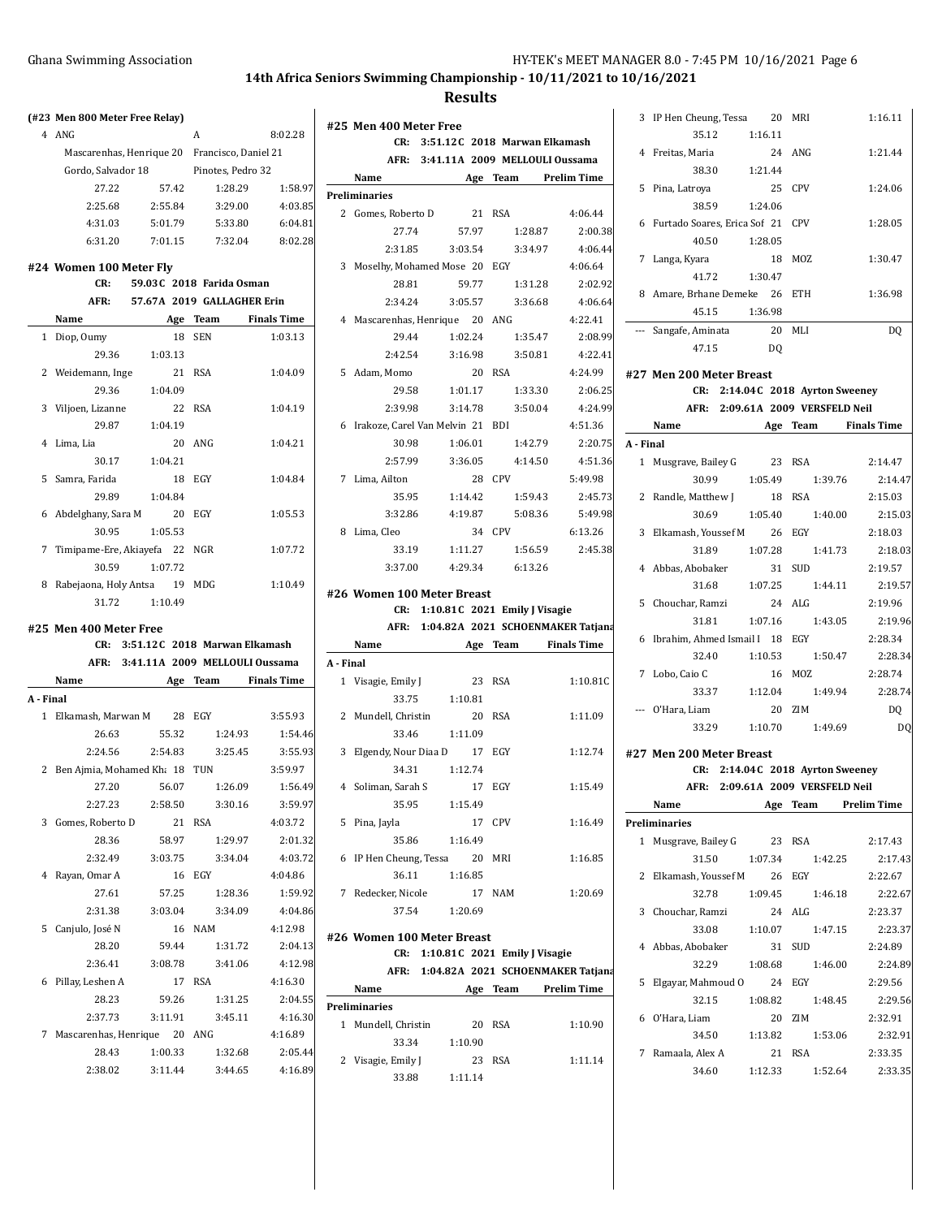**CR: 3:51.12C 2018 Marwan Elkamash AFR: 3:41.11A 2009 MELLOULI Oussama**

**Results**

**#25 Men 400 Meter Free**

|           | <b>Ghana Swimming Association</b>             |                                   |                   | 14th Africa                         |
|-----------|-----------------------------------------------|-----------------------------------|-------------------|-------------------------------------|
|           | (#23 Men 800 Meter Free Relay)                |                                   |                   |                                     |
|           | 4 ANG                                         |                                   | A                 | 8:02.28                             |
|           | Mascarenhas, Henrique 20 Francisco, Daniel 21 |                                   |                   |                                     |
|           | Gordo, Salvador 18                            |                                   | Pinotes, Pedro 32 |                                     |
|           | 27.22                                         | 57.42                             | 1:28.29           | 1:58.97                             |
|           | 2:25.68                                       | 2:55.84                           | 3:29.00           | 4:03.85                             |
|           | 4:31.03                                       | 5:01.79                           | 5:33.80           | 6:04.81                             |
|           | 6:31.20                                       | 7:01.15                           | 7:32.04           | 8:02.28                             |
|           |                                               |                                   |                   |                                     |
|           | #24 Women 100 Meter Fly                       | 59.03C 2018 Farida Osman          |                   |                                     |
|           | CR:                                           |                                   |                   |                                     |
|           | AFR:                                          | 57.67A 2019 GALLAGHER Erin        |                   |                                     |
|           | Name                                          |                                   | Age Team          | <b>Finals Time</b>                  |
| 1         | Diop, Oumy                                    | 18                                | <b>SEN</b>        | 1:03.13                             |
|           | 29.36                                         | 1:03.13                           |                   |                                     |
|           | 2 Weidemann, Inge                             |                                   | 21 RSA            | 1:04.09                             |
|           | 29.36                                         | 1:04.09                           |                   |                                     |
|           | 3 Viljoen, Lizanne                            |                                   | 22 RSA            | 1:04.19                             |
|           | 29.87                                         | 1:04.19                           |                   |                                     |
|           | 4 Lima, Lia                                   |                                   | $20$ ANG          | 1:04.21                             |
|           | 30.17                                         | 1:04.21                           |                   |                                     |
|           | 5 Samra, Farida                               | 18                                | EGY               | 1:04.84                             |
|           | 29.89                                         | 1:04.84                           |                   |                                     |
|           | 6 Abdelghany, Sara M 20 EGY                   |                                   |                   | 1:05.53                             |
|           | 30.95                                         | 1:05.53                           |                   |                                     |
| 7         | Timipame-Ere, Akiayefa 22                     |                                   | NGR               | 1:07.72                             |
|           | 30.59                                         | 1:07.72                           |                   |                                     |
|           | 8 Rabejaona, Holy Antsa 19                    |                                   | MDG               | 1:10.49                             |
|           | 31.72                                         | 1:10.49                           |                   |                                     |
|           | #25 Men 400 Meter Free                        |                                   |                   |                                     |
|           |                                               | CR: 3:51.12C 2018 Marwan Elkamash |                   |                                     |
|           |                                               |                                   |                   | AFR: 3:41.11A 2009 MELLOULI Oussama |
|           | Name                                          | Age                               |                   | Team Finals Time                    |
| A - Final |                                               |                                   |                   |                                     |
| 1         | Elkamash, Marwan M                            | 28                                | EGY               | 3:55.93                             |
|           | 26.63                                         | 55.32                             | 1:24.93           | 1:54.46                             |
|           | 2:24.56                                       | 2:54.83                           | 3:25.45           | 3:55.93                             |
|           | 2 Ben Ajmia, Mohamed Kh; 18 TUN               |                                   |                   | 3:59.97                             |
|           | 27.20                                         | 56.07                             | 1:26.09           | 1:56.49                             |
|           | 2:27.23                                       | 2:58.50                           | 3:30.16           | 3:59.97                             |
|           | 3 Gomes, Roberto D                            | 21                                | <b>RSA</b>        | 4:03.72                             |
|           | 28.36                                         | 58.97                             | 1:29.97           | 2:01.32                             |
|           | 2:32.49                                       | 3:03.75                           |                   | 4:03.72<br>3:34.04                  |
|           | 4 Rayan, Omar A                               | 16                                | EGY               | 4:04.86                             |
|           | 27.61                                         | 57.25                             | 1:28.36           | 1:59.92                             |
|           | 2:31.38                                       | 3:03.04                           | 3:34.09           | 4:04.86                             |
|           | 5 Canjulo, José N                             | 16                                | NAM               | 4:12.98                             |
|           | 28.20                                         | 59.44                             | 1:31.72           | 2:04.13                             |
|           | 2:36.41                                       | 3:08.78                           | 3:41.06           | 4:12.98                             |
|           | 6 Pillay, Leshen A                            | 17 RSA                            |                   | 4:16.30                             |

28.23 59.26 1:31.25 2:04.55 2:37.73 3:11.91 3:45.11 4:16.30 7 Mascarenhas, Henrique 20 ANG 4:16.89

> 28.43 1:00.33 1:32.68 2:05.44 2:38.02 3:11.44 3:44.65 4:16.89

|           | Name                               |                                   |            | Age Team Prelim Time                   |
|-----------|------------------------------------|-----------------------------------|------------|----------------------------------------|
|           | Preliminaries                      |                                   |            |                                        |
|           | 2 Gomes, Roberto D                 | 21 RSA                            |            | 4:06.44                                |
|           | 27.74                              | 57.97                             |            | 1:28.87<br>2:00.38                     |
|           | 2:31.85                            | 3:03.54                           |            | 4:06.44<br>3:34.97                     |
|           | 3 Moselhy, Mohamed Mose 20 EGY     |                                   |            | 4:06.64                                |
|           | 28.81                              | 59.77                             | 1:31.28    | 2:02.92                                |
|           | 2:34.24                            | 3:05.57 3:36.68                   |            | 4:06.64                                |
|           | 4 Mascarenhas, Henrique 20 ANG     |                                   |            | 4:22.41                                |
|           | 29.44                              | 1:02.24 1:35.47                   |            | 2:08.99                                |
|           | 2:42.54                            | 3:16.98                           | 3:50.81    | 4:22.41                                |
|           | 5 Adam, Momo                       |                                   | 20 RSA     | 4:24.99                                |
|           | 29.58                              | 1:01.17                           |            | 1:33.30<br>2:06.25                     |
|           | 2:39.98                            | 3:14.78                           |            | 3:50.04<br>4:24.99                     |
|           | 6 Irakoze, Carel Van Melvin 21 BDI |                                   |            | 4:51.36                                |
|           | 30.98                              | 1:06.01                           |            | 1:42.79<br>2:20.75                     |
|           | 2:57.99                            | 3:36.05                           |            | 4:51.36<br>4:14.50                     |
|           | 7 Lima, Ailton                     |                                   | 28 CPV     | 5:49.98                                |
|           |                                    | 35.95 1:14.42                     | 1:59.43    | 2:45.73                                |
|           |                                    | 3:32.86 4:19.87                   |            | 5:49.98<br>5:08.36                     |
|           | 8 Lima, Cleo                       |                                   | 34 CPV     | 6:13.26                                |
|           |                                    | 33.19 1:11.27                     | 1:56.59    | 2:45.38                                |
|           | 3:37.00                            | 4.29.34 6.13.26                   |            |                                        |
|           |                                    |                                   |            |                                        |
|           | #26 Women 100 Meter Breast         |                                   |            |                                        |
|           |                                    | CR: 1:10.81C 2021 Emily J Visagie |            |                                        |
|           |                                    |                                   |            | AFR: 1:04.82A 2021 SCHOENMAKER Tatjana |
|           | Name                               |                                   |            | Age Team Finals Time                   |
| A - Final |                                    |                                   |            |                                        |
|           | 1 Visagie, Emily J                 | 23                                | <b>RSA</b> | 1:10.81C                               |
|           | 33.75                              | 1:10.81                           |            |                                        |
| 2         | Mundell, Christin                  | 20                                | <b>RSA</b> | 1:11.09                                |
|           | 33.46                              | 1:11.09                           |            |                                        |
| 3         | Elgendy, Nour Diaa D 17            |                                   | EGY        | 1:12.74                                |
|           | 34.31                              | 1:12.74                           |            |                                        |
|           | 4 Soliman, Sarah S                 | 17                                | EGY        | 1:15.49                                |
|           |                                    | 35.95 1:15.49                     |            |                                        |
|           | 5 Pina, Jayla                      |                                   | 17 CPV     | 1:16.49                                |
|           | 35.86                              | 1:16.49                           |            |                                        |
|           | 6 IP Hen Cheung, Tessa 20 MRI      |                                   |            | 1:16.85                                |
|           | 36.11                              | 1:16.85                           |            |                                        |
|           | 7 Redecker, Nicole                 |                                   | 17 NAM     | 1:20.69                                |
|           | 37.54                              | 1:20.69                           |            |                                        |
|           | #26 Women 100 Meter Breast         |                                   |            |                                        |
|           |                                    | CR: 1:10.81C 2021 Emily J Visagie |            |                                        |
|           |                                    |                                   |            | AFR: 1:04.82A 2021 SCHOENMAKER Tatjana |
|           | Name                               |                                   |            | <b>Example 2 Age Team</b> Prelim Time  |
|           | Preliminaries                      |                                   |            |                                        |
|           | 1 Mundell, Christin                |                                   | 20 RSA     | 1:10.90                                |
|           | 33.34                              | 1:10.90                           |            |                                        |
|           | 2 Visagie, Emily J                 | 23                                | RSA        | 1:11.14                                |
|           |                                    |                                   |            |                                        |
|           |                                    | 33.88 1:11.14                     |            |                                        |
|           |                                    |                                   |            |                                        |

|           | 3 IP Hen Cheung, Tessa 20 MRI                                |         |                   | 1:16.11                             |
|-----------|--------------------------------------------------------------|---------|-------------------|-------------------------------------|
|           | 35.12                                                        | 1:16.11 |                   |                                     |
|           | 4 Freitas, Maria                                             |         | 24 ANG            | 1:21.44                             |
|           | 38.30 1:21.44                                                |         |                   |                                     |
|           | 5 Pina, Latroya                                              | 25 CPV  |                   | 1:24.06                             |
|           | 38.59 1:24.06                                                |         |                   |                                     |
|           | 6 Furtado Soares, Erica Sof 21 CPV                           |         |                   | 1:28.05                             |
|           | 40.50 1:28.05                                                |         |                   |                                     |
|           | 7 Langa, Kyara                                               |         | 18 MOZ            | 1:30.47                             |
|           | 41.72                                                        | 1:30.47 |                   |                                     |
|           | 8 Amare, Brhane Demeke 26 ETH                                |         |                   | 1:36.98                             |
|           | 45.15                                                        | 1:36.98 |                   |                                     |
|           | --- Sangafe, Aminata 20 MLI                                  |         |                   | DQ                                  |
|           | 47.15                                                        | DQ      |                   |                                     |
|           |                                                              |         |                   |                                     |
|           | #27 Men 200 Meter Breast<br>CR: 2:14.04C 2018 Ayrton Sweeney |         |                   |                                     |
|           | AFR: 2:09.61A 2009 VERSFELD Neil                             |         |                   |                                     |
|           |                                                              |         |                   |                                     |
| A - Final | Name Age Team Finals Time                                    |         |                   |                                     |
|           | 1 Musgrave, Bailey G 23 RSA                                  |         |                   | 2:14.47                             |
|           |                                                              |         |                   |                                     |
|           | 2 Randle, Matthew J                                          | 18 RSA  |                   | 30.99   1:05.49   1:39.76   2:14.47 |
|           | 30.69                                                        | 1:05.40 | 1:40.00           | 2:15.03<br>2:15.03                  |
|           |                                                              |         |                   |                                     |
|           | 3 Elkamash, Youssef M 26 EGY                                 | 1:07.28 |                   | 2:18.03                             |
|           | 31.89                                                        |         | 1:41.73<br>31 SUD | 2:18.03<br>2:19.57                  |
|           | 4 Abbas, Abobaker                                            | 1:07.25 | 1:44.11           |                                     |
|           | 31.68                                                        |         |                   | 2:19.57                             |
|           | 5 Chouchar, Ramzi                                            | 24 ALG  |                   | 2:19.96                             |
|           | 31.81                                                        |         | 1:07.16 1:43.05   | 2:19.96                             |
|           | 6 Ibrahim, Ahmed Ismail I 18 EGY                             |         |                   | 2:28.34                             |
|           | 32.40                                                        | 1:10.53 | 1:50.47           | 2:28.34<br>2:28.74                  |
|           | 7 Lobo, Caio C                                               |         | 16 MOZ            |                                     |
|           | 33.37 1:12.04                                                |         |                   | 1:49.94<br>2:28.74                  |
|           | --- O'Hara, Liam                                             |         | 20 ZIM            | DQ                                  |
|           | 33.29 1:10.70                                                |         | 1:49.69           | DQ                                  |
|           | #27 Men 200 Meter Breast                                     |         |                   |                                     |
|           | CR: 2:14.04C 2018 Ayrton Sweeney                             |         |                   |                                     |
|           | AFR: 2:09.61A 2009 VERSFELD Neil                             |         |                   |                                     |
|           | Name                                                         | Age     | Team              | Prelim Time                         |
|           | Preliminaries                                                |         |                   |                                     |
|           | 1 Musgrave, Bailey G 23 RSA                                  |         |                   | 2:17.43                             |
|           | 31.50                                                        | 1:07.34 | 1:42.25           | 2:17.43                             |
|           | 2 Elkamash, Youssef M 26 EGY                                 |         |                   | 2:22.67                             |
|           | 32.78                                                        | 1:09.45 | 1:46.18           | 2:22.67                             |
|           | 3 Chouchar, Ramzi                                            |         | 24 ALG            | 2:23.37                             |
|           | 33.08                                                        | 1:10.07 | 1:47.15           | 2:23.37                             |
|           | 4 Abbas, Abobaker                                            |         | 31 SUD            | 2:24.89                             |
|           | 32.29                                                        | 1:08.68 | 1:46.00           | 2:24.89                             |
|           | 5 Elgayar, Mahmoud O 24 EGY                                  |         |                   | 2:29.56                             |
|           | 32.15                                                        | 1:08.82 | 1:48.45           | 2:29.56                             |
|           | 6 O'Hara, Liam                                               |         | 20 ZIM            | 2:32.91                             |
|           | 34.50   1:13.82   1:53.06                                    |         |                   | 2:32.91                             |
|           | 7 Ramaala, Alex A                                            |         | 21 RSA            | 2:33.35                             |
|           | 34.60 1:12.33                                                |         | 1:52.64           | 2:33.35                             |
|           |                                                              |         |                   |                                     |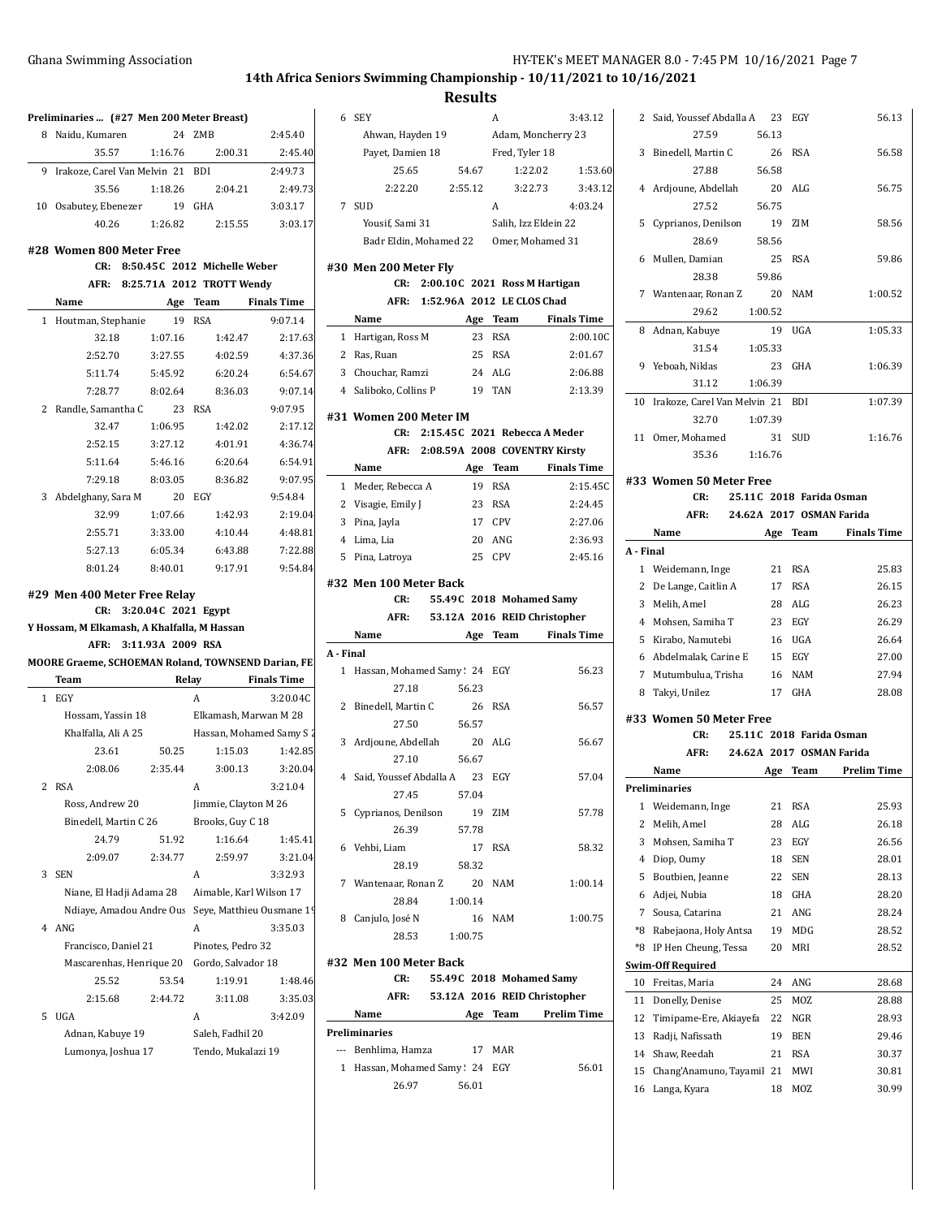A 3:43.12

**Results**

| Preliminaries  (#27 Men 200 Meter Breast)          |         |                                          |                    |           | 6 SEY                           |         | A              | 3.43                               |
|----------------------------------------------------|---------|------------------------------------------|--------------------|-----------|---------------------------------|---------|----------------|------------------------------------|
| 8 Naidu, Kumaren                                   |         | 24 ZMB                                   | 2:45.40            |           | Ahwan, Hayden 19                |         |                | Adam, Moncherry 23                 |
| 35.57                                              | 1:16.76 | 2:00.31                                  | 2:45.40            |           | Payet, Damien 18                |         | Fred, Tyler 18 |                                    |
| 9 Irakoze, Carel Van Melvin 21 BDI                 |         |                                          | 2:49.73            |           | 25.65                           | 54.67   |                | 1:22.02<br>1:                      |
| 35.56                                              | 1:18.26 | 2:04.21                                  | 2:49.73            |           | 2:22.20                         | 2:55.12 |                | 3:<br>3:22.73                      |
| 10 Osabutey, Ebenezer                              |         | 19 GHA                                   | 3:03.17            |           | 7 SUD                           |         | A              | 4.03                               |
| 40.26                                              | 1:26.82 | 2:15.55                                  | 3:03.17            |           | Yousif, Sami 31                 |         |                | Salih, Izz Eldein 22               |
| #28 Women 800 Meter Free                           |         |                                          |                    |           | Badr Eldin, Mohamed 22          |         |                | Omer, Mohamed 31                   |
| CR:                                                |         | 8:50.45C 2012 Michelle Weber             |                    |           | #30 Men 200 Meter Fly           |         |                |                                    |
|                                                    |         | AFR: 8:25.71A 2012 TROTT Wendy           |                    |           |                                 |         |                | CR: 2:00.10C 2021 Ross M Hartigan  |
| Name                                               |         | Age Team                                 | <b>Finals Time</b> |           | AFR: 1:52.96A 2012 LE CLOS Chad |         |                |                                    |
| 1 Houtman, Stephanie                               |         | 19 RSA                                   | 9:07.14            |           | Name                            |         | Age Team       | <b>Finals Ti</b>                   |
| 32.18                                              | 1:07.16 | 1:42.47                                  | 2:17.63            |           | 1 Hartigan, Ross M              |         | 23 RSA         | 2:00                               |
| 2:52.70                                            | 3:27.55 | 4:02.59                                  | 4:37.36            |           | 2 Ras, Ruan                     |         | 25 RSA         | 2:01                               |
| 5:11.74                                            | 5:45.92 | 6:20.24                                  | 6:54.67            |           | 3 Chouchar, Ramzi               |         | 24 ALG         | 2:06                               |
| 7:28.77                                            | 8:02.64 | 8:36.03                                  | 9:07.14            |           | 4 Saliboko, Collins P           |         | 19 TAN         | 2.13                               |
| 2 Randle, Samantha C                               |         | 23 RSA                                   | 9:07.95            |           |                                 |         |                |                                    |
| 32.47                                              | 1:06.95 | 1:42.02                                  | 2:17.12            |           | #31 Women 200 Meter IM          |         |                |                                    |
| 2:52.15                                            | 3:27.12 | 4:01.91                                  | 4:36.74            |           |                                 |         |                | CR: 2:15.45C 2021 Rebecca A Meder  |
| 5:11.64                                            | 5:46.16 | 6:20.64                                  | 6:54.91            |           |                                 |         |                | AFR: 2:08.59A 2008 COVENTRY Kirsty |
| 7:29.18                                            | 8:03.05 | 8:36.82                                  | 9:07.95            |           | Name                            |         | Age Team       | <b>Finals Ti</b>                   |
| 3 Abdelghany, Sara M                               |         | 20 EGY                                   | 9:54.84            |           | 1 Meder, Rebecca A              |         | 19 RSA         | 2:15                               |
| 32.99                                              | 1:07.66 | 1:42.93                                  | 2:19.04            |           | 2 Visagie, Emily J              |         | 23 RSA         | 2.24                               |
| 2:55.71                                            | 3:33.00 | 4:10.44                                  | 4:48.81            |           | 3 Pina, Jayla                   |         | 17 CPV         | 2:27                               |
| 5:27.13                                            | 6:05.34 | 6:43.88                                  | 7:22.88            |           | 4 Lima, Lia                     |         | 20 ANG         | 2:36                               |
| 8:01.24                                            | 8:40.01 | 9:17.91                                  | 9:54.84            |           | 5 Pina, Latroya                 |         | 25 CPV         | 2.45                               |
|                                                    |         |                                          |                    |           | #32 Men 100 Meter Back          |         |                |                                    |
|                                                    |         |                                          |                    |           |                                 |         |                |                                    |
| #29 Men 400 Meter Free Relay                       |         |                                          |                    |           | CR:                             |         |                | 55.49C 2018 Mohamed Samy           |
| CR:                                                |         | 3:20.04C 2021 Egypt                      |                    |           | AFR:                            |         |                | 53.12A 2016 REID Christopher       |
| Y Hossam, M Elkamash, A Khalfalla, M Hassan        |         |                                          |                    |           | Name                            |         | Age Team       |                                    |
| AFR: 3:11.93A 2009 RSA                             |         |                                          |                    | A - Final |                                 |         |                | <b>Finals Ti</b>                   |
| MOORE Graeme, SCHOEMAN Roland, TOWNSEND Darian, FE |         |                                          |                    |           | 1 Hassan, Mohamed Samy: 24 EGY  |         |                | 56                                 |
| Team                                               |         | Relay                                    | <b>Finals Time</b> |           | 27.18                           | 56.23   |                |                                    |
| 1 EGY<br>Hossam, Yassin 18                         |         | A<br>Elkamash, Marwan M 28               | 3:20.04C           |           | 2 Binedell, Martin C            |         | 26 RSA         | 56                                 |
|                                                    |         |                                          |                    |           | 27.50                           | 56.57   |                |                                    |
| Khalfalla, Ali A 25<br>23.61                       | 50.25   | Hassan, Mohamed Samy S 2<br>1:15.03      | 1:42.85            |           | 3 Ardjoune, Abdellah            |         | 20 ALG         | 56                                 |
| 2:08.06                                            | 2:35.44 | 3:00.13                                  | 3:20.04            |           | 27.10                           | 56.67   |                |                                    |
| 2 RSA                                              |         | A                                        | 3:21.04            |           | 4 Said, Youssef Abdalla A       |         | 23 EGY         | 57                                 |
| Ross, Andrew 20                                    |         |                                          |                    |           | 27.45                           | 57.04   |                |                                    |
| Binedell, Martin C 26                              |         | Jimmie, Clayton M 26<br>Brooks, Guy C 18 |                    |           | 5 Cyprianos, Denilson           |         | 19 ZIM         | 57                                 |
| 24.79                                              | 51.92   | 1:16.64                                  | 1:45.41            |           | 26.39                           | 57.78   |                |                                    |
| 2:09.07                                            | 2:34.77 | 2:59.97                                  | 3:21.04            |           | 6 Vehbi, Liam                   | 17      | <b>RSA</b>     | 58                                 |
| 3 SEN                                              |         | A                                        | 3:32.93            |           | 28.19                           | 58.32   |                |                                    |
| Niane, El Hadji Adama 28                           |         | Aimable, Karl Wilson 17                  |                    |           | 7 Wantenaar, Ronan Z            | 20      | <b>NAM</b>     | 1:00                               |
| Ndiaye, Amadou Andre Ous                           |         | Seye, Matthieu Ousmane 19                |                    |           | 28.84                           | 1:00.14 |                |                                    |
| 4 ANG                                              |         | A                                        | 3:35.03            |           | 8 Canjulo, José N               |         | 16 NAM         | 1:00                               |
| Francisco, Daniel 21                               |         | Pinotes, Pedro 32                        |                    |           | 28.53                           | 1:00.75 |                |                                    |
| Mascarenhas, Henrique 20                           |         | Gordo, Salvador 18                       |                    |           | #32 Men 100 Meter Back          |         |                |                                    |
| 25.52                                              | 53.54   | 1:19.91                                  | 1:48.46            |           | CR:                             |         |                | 55.49C 2018 Mohamed Samy           |
| 2:15.68                                            | 2:44.72 | 3:11.08                                  | 3:35.03            |           | AFR:                            |         |                | 53.12A 2016 REID Christopher       |
| 5 UGA                                              |         | A                                        | 3:42.09            |           | Name                            |         | Age Team       | Prelim Ti                          |
| Adnan, Kabuye 19                                   |         | Saleh, Fadhil 20                         |                    |           | Preliminaries                   |         |                |                                    |

|              | Payet, Damien 18                        |                                       |         | Fred, Tyler 18               |                      |                    |
|--------------|-----------------------------------------|---------------------------------------|---------|------------------------------|----------------------|--------------------|
|              | 25.65                                   |                                       | 54.67   |                              | 1:22.02              | 1:53.60            |
|              | 2:22.20                                 |                                       | 2:55.12 |                              | 3:22.73              | 3:43.12            |
| $7^{\circ}$  | <b>SUD</b>                              |                                       |         | A                            |                      | 4:03.24            |
|              | Yousif, Sami 31                         |                                       |         |                              | Salih, Izz Eldein 22 |                    |
|              | Badr Eldin, Mohamed 22 Omer, Mohamed 31 |                                       |         |                              |                      |                    |
|              |                                         |                                       |         |                              |                      |                    |
|              | #30 Men 200 Meter Fly<br>CR:            | 2:00.10C 2021 Ross M Hartigan         |         |                              |                      |                    |
|              |                                         | AFR: 1:52.96A 2012 LE CLOS Chad       |         |                              |                      |                    |
|              | Name                                    |                                       | Age     | Team                         |                      | <b>Finals Time</b> |
|              | 1 Hartigan, Ross M                      |                                       | 23      | <b>RSA</b>                   |                      | 2:00.10C           |
|              | 2 Ras, Ruan                             |                                       |         | 25 RSA                       |                      | 2:01.67            |
|              | 3 Chouchar, Ramzi                       |                                       |         | 24 ALG                       |                      | 2:06.88            |
|              | 4 Saliboko, Collins P                   |                                       | 19      | <b>TAN</b>                   |                      | 2:13.39            |
|              |                                         |                                       |         |                              |                      |                    |
|              | #31 Women 200 Meter IM                  |                                       |         |                              |                      |                    |
|              | CR:                                     | 2:15.45C 2021 Rebecca A Meder         |         |                              |                      |                    |
|              | AFR:                                    | 2:08.59A 2008 COVENTRY Kirsty         |         |                              |                      |                    |
|              | Name                                    |                                       |         | Age Team                     |                      | <b>Finals Time</b> |
|              | 1 Meder, Rebecca A                      |                                       | 19      | <b>RSA</b>                   |                      | 2:15.45C           |
| 2            | Visagie, Emily J                        |                                       |         | 23 RSA                       |                      | 2:24.45            |
| 3            | Pina, Jayla                             |                                       |         | 17 CPV                       |                      | 2:27.06            |
|              | 4 Lima, Lia                             |                                       | 20      | ANG                          |                      | 2:36.93            |
| 5            | Pina, Latroya                           |                                       | 25      | CPV                          |                      | 2:45.16            |
|              | #32 Men 100 Meter Back                  |                                       |         |                              |                      |                    |
|              | CR:                                     |                                       |         | 55.49C 2018 Mohamed Samy     |                      |                    |
|              | AFR:                                    |                                       |         | 53.12A 2016 REID Christopher |                      |                    |
|              | Name                                    |                                       |         | Age Team                     |                      | <b>Finals Time</b> |
| A - Final    |                                         |                                       |         |                              |                      |                    |
| $\mathbf{1}$ | Hassan, Mohamed Samy: 24 EGY            |                                       |         |                              |                      | 56.23              |
|              | 27.18                                   |                                       | 56.23   |                              |                      |                    |
| 2            | Binedell, Martin C                      |                                       | 26      | <b>RSA</b>                   |                      | 56.57              |
|              | 27.50                                   |                                       | 56.57   |                              |                      |                    |
| 3            | Ardjoune, Abdellah                      |                                       | 20      | ALG                          |                      | 56.67              |
|              | 27.10                                   |                                       | 56.67   |                              |                      |                    |
| 4            | Said, Youssef Abdalla A                 |                                       | 23      | EGY                          |                      | 57.04              |
|              | 27.45                                   |                                       | 57.04   |                              |                      |                    |
| 5            | Cyprianos, Denilson                     |                                       | 19      | ZIM                          |                      | 57.78              |
|              | 26.39                                   |                                       | 57.78   |                              |                      |                    |
|              | 6 Vehbi, Liam                           |                                       |         | 17 RSA                       |                      | 58.32              |
|              | 28.19                                   |                                       | 58.32   |                              |                      |                    |
|              | 7 Wantenaar, Ronan Z                    |                                       |         | 20 NAM                       |                      | 1:00.14            |
|              | 28.84                                   |                                       | 1:00.14 |                              |                      |                    |
|              | 8 Canjulo, José N                       |                                       |         | 16 NAM                       |                      | 1:00.75            |
|              | 28.53                                   |                                       | 1:00.75 |                              |                      |                    |
|              | #32 Men 100 Meter Back                  |                                       |         |                              |                      |                    |
|              | CR:                                     | 55.49C 2018 Mohamed Samy              |         |                              |                      |                    |
|              | AFR:                                    | 53.12A 2016 REID Christopher          |         |                              |                      |                    |
|              | Name                                    | <b>Example 2 Age Team</b> Prelim Time |         |                              |                      |                    |
|              | Preliminaries                           |                                       |         |                              |                      |                    |
|              | --- Benhlima, Hamza 17 MAR              |                                       |         |                              |                      |                    |
|              |                                         |                                       |         |                              |                      |                    |

1 Hassan, Mohamed Samy ! 24 EGY 56.01 26.97 56.01

|           | 2 Said, Youssef Abdalla A 23           |          | EGY                      | 56.13              |
|-----------|----------------------------------------|----------|--------------------------|--------------------|
|           | 27.59                                  | 56.13    |                          |                    |
| 3         | Binedell, Martin C                     | 26       | <b>RSA</b>               | 56.58              |
|           | 27.88                                  | 56.58    |                          |                    |
|           | 4 Ardjoune, Abdellah                   | 20       | ALG                      | 56.75              |
|           | 27.52                                  | 56.75    |                          |                    |
| 5         | Cyprianos, Denilson                    | 19       | ZIM                      | 58.56              |
|           | 28.69                                  | 58.56    |                          |                    |
| 6         | Mullen, Damian                         | 25       | <b>RSA</b>               | 59.86              |
|           | 28.38                                  | 59.86    |                          |                    |
| 7         | Wantenaar, Ronan Z                     | 20       | <b>NAM</b>               | 1:00.52            |
|           | 29.62<br>1:00.52                       |          |                          |                    |
| 8         | Adnan, Kabuye                          | 19       | UGA                      | 1:05.33            |
|           | 31.54<br>1:05.33                       |          |                          |                    |
|           | 9 Yeboah, Niklas                       | 23       | GHA                      | 1:06.39            |
|           | 1:06.39<br>31.12                       |          |                          |                    |
| 10        | Irakoze, Carel Van Melvin 21 BDI       |          |                          | 1:07.39            |
|           | 1:07.39<br>32.70                       |          |                          |                    |
| 11        | Omer, Mohamed                          | 31       | SUD                      | 1:16.76            |
|           | 35.36<br>1:16.76                       |          |                          |                    |
|           | #33 Women 50 Meter Free                |          |                          |                    |
|           | CR:                                    |          | 25.11C 2018 Farida Osman |                    |
|           | AFR:                                   |          | 24.62A 2017 OSMAN Farida |                    |
|           | Name                                   | Age      | <b>Team</b>              | <b>Finals Time</b> |
| A - Final |                                        |          |                          |                    |
|           | 1 Weidemann, Inge                      | 21       | <b>RSA</b>               | 25.83              |
|           | 2 De Lange, Caitlin A                  |          | 17 RSA                   | 26.15              |
|           | 3 Melih, Amel                          | 28       | ALG                      | 26.23              |
|           |                                        |          |                          |                    |
|           |                                        |          | 23 EGY                   | 26.29              |
| 5         | 4 Mohsen, Samiha T                     | 16       | UGA                      | 26.64              |
|           | Kirabo, Namutebi                       |          |                          |                    |
|           | 6 Abdelmalak, Carine E                 |          | 15 EGY                   | 27.00              |
|           | 7 Mutumbulua, Trisha                   |          | 16 NAM<br>17 GHA         | 27.94<br>28.08     |
|           | 8 Takyi, Unilez                        |          |                          |                    |
|           | #33 Women 50 Meter Free                |          |                          |                    |
|           | CR:                                    |          | 25.11C 2018 Farida Osman |                    |
|           | AFR:                                   |          | 24.62A 2017 OSMAN Farida |                    |
|           | Name                                   | Age      | <b>Team</b>              | <b>Prelim Time</b> |
|           | Preliminaries                          |          |                          |                    |
| 1         | Weidemann, Inge                        | 21       | RSA                      | 25.93              |
| 2         | Melih, Amel                            | 28       | ALG                      | 26.18              |
| 3         | Mohsen, Samiha T                       | 23       | EGY                      | 26.56              |
| 4         | Diop, Oumy                             | 18       | <b>SEN</b>               | 28.01              |
| 5         | Boutbien, Jeanne                       | 22       | <b>SEN</b>               | 28.13              |
| 6         | Adjei, Nubia                           | 18       | GHA                      | 28.20              |
| 7         | Sousa, Catarina                        | 21       | ANG                      | 28.24              |
| *8        | Rabejaona, Holy Antsa                  | 19       | MDG                      | 28.52              |
| *8        | IP Hen Cheung, Tessa                   | 20       | MRI                      | 28.52              |
|           | <b>Swim-Off Required</b>               |          |                          |                    |
| 10        | Freitas, Maria                         | 24       | ANG                      | 28.68              |
| 11        | Donelly, Denise                        | 25       | MOZ                      | 28.88              |
| 12        | Timipame-Ere, Akiayefa                 | 22       | NGR                      | 28.93              |
| 13        | Radji, Nafissath                       | 19       | BEN                      | 29.46              |
| 14        | Shaw, Reedah                           | 21       | RSA                      | 30.37              |
| 15<br>16  | Chang'Anamuno, Tayamil<br>Langa, Kyara | 21<br>18 | MWI<br>MOZ               | 30.81<br>30.99     |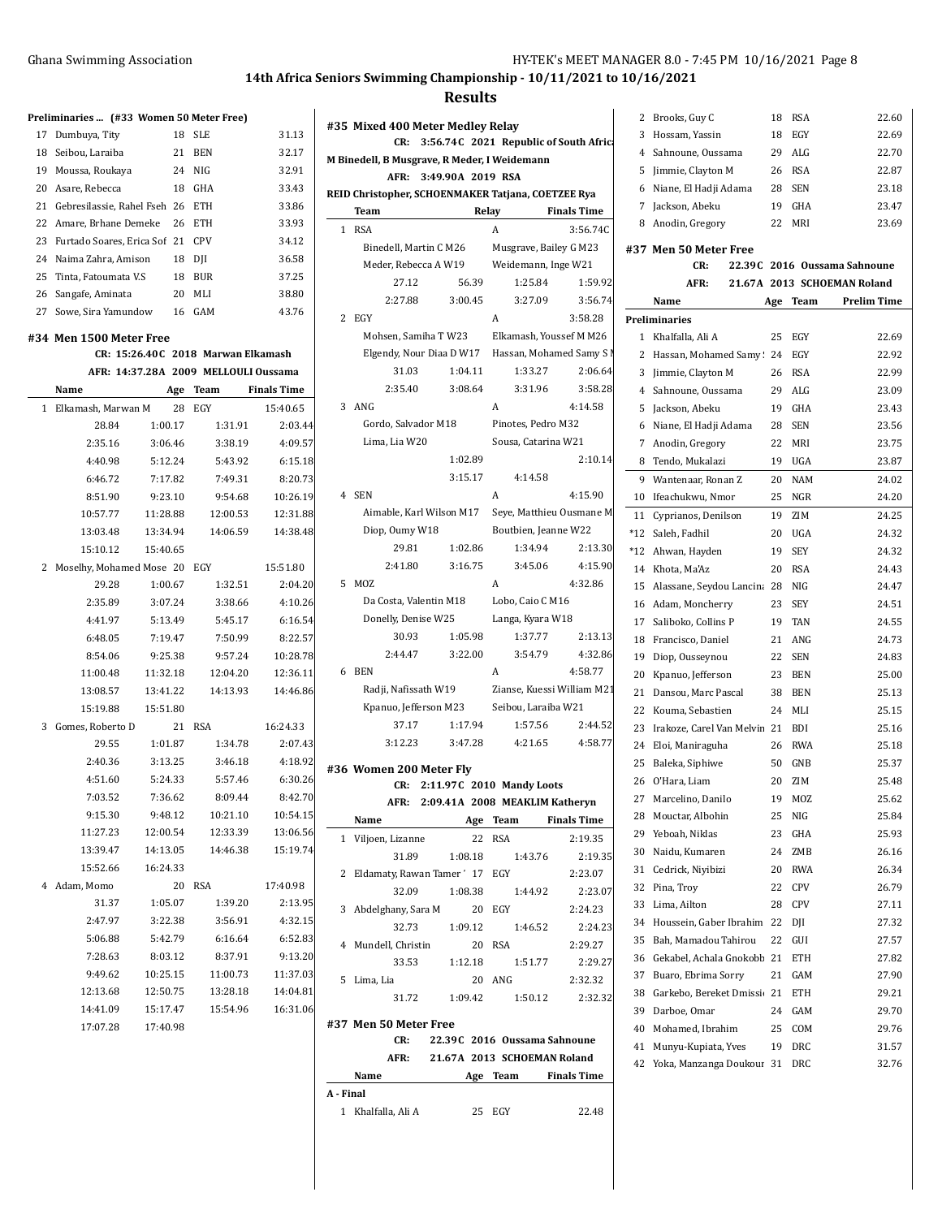**Preliminaries ... (#33 Women 50 Meter Free)**

17 Dumbuya, Tity 18 SLE 31.13

## **14th Africa Seniors Swimming Championship - 10/11/2021 to 10/16/2021**

#### **Results**

| 18           | Seibou, Laraiba                      | 21       | <b>BEN</b> | 32.17              |
|--------------|--------------------------------------|----------|------------|--------------------|
| 19           | Moussa, Roukaya                      | 24       | <b>NIG</b> | 32.91              |
| 20           | Asare, Rebecca                       | 18       | GHA        | 33.43              |
| 21           | Gebresilassie, Rahel Fseh 26         |          | <b>ETH</b> | 33.86              |
| 22           | Amare, Brhane Demeke                 | 26       | <b>ETH</b> | 33.93              |
| 23           | Furtado Soares, Erica Sof            | 21       | <b>CPV</b> | 34.12              |
| 24           | Naima Zahra, Amison                  | 18       | DII        | 36.58              |
| 25           | Tinta, Fatoumata V.S                 | 18       | <b>BUR</b> | 37.25              |
| 26           | Sangafe, Aminata                     | 20       | MLI        | 38.80              |
| 27           | Sowe, Sira Yamundow                  | 16       | GAM        | 43.76              |
|              | #34 Men 1500 Meter Free              |          |            |                    |
|              |                                      |          |            |                    |
|              | CR: 15:26.40C 2018 Marwan Elkamash   |          |            |                    |
|              | AFR: 14:37.28A 2009 MELLOULI Oussama |          |            |                    |
|              | Name                                 |          | Age Team   | <b>Finals Time</b> |
| $\mathbf{1}$ | Elkamash, Marwan M                   | 28       | EGY        | 15:40.65           |
|              | 28.84                                | 1:00.17  |            | 2:03.4<br>1:31.91  |
|              | 2:35.16                              | 3:06.46  |            | 4:09.<br>3:38.19   |
|              | 4:40.98                              | 5:12.24  |            | 5:43.92<br>6:15.1  |
|              | 6:46.72                              | 7:17.82  |            | 8:20.7<br>7:49.31  |
|              | 8:51.90                              | 9:23.10  |            | 10:26.1<br>9:54.68 |
|              | 10:57.77                             | 11:28.88 | 12:00.53   | 12:31.8            |

|    | 19 Moussa, Roukaya                     |          |    | 24 NIG   |          | 32.91              |
|----|----------------------------------------|----------|----|----------|----------|--------------------|
|    | 20 Asare, Rebecca                      |          | 18 | GHA      |          | 33.43              |
|    | 21 Gebresilassie, Rahel Fseh 26 ETH    |          |    |          |          | 33.86              |
|    | 22 Amare, Brhane Demeke 26 ETH         |          |    |          |          | 33.93              |
|    | 23 Furtado Soares, Erica Sof 21 CPV    |          |    |          |          | 34.12              |
| 24 | Naima Zahra, Amison                    |          |    | $18$ DJI |          | 36.58              |
| 25 | Tinta, Fatoumata V.S                   |          |    | 18 BUR   |          | 37.25              |
| 26 | Sangafe, Aminata                       |          |    | 20 MLI   |          | 38.80              |
| 27 | Sowe, Sira Yamundow 16                 |          |    | GAM      |          | 43.76              |
|    | 34 Men 1500 Meter Free                 |          |    |          |          |                    |
|    | CR: 15:26.40C 2018 Marwan Elkamash     |          |    |          |          |                    |
|    | AFR: 14:37.28A 2009 MELLOULI Oussama   |          |    |          |          |                    |
|    | Name                                   |          |    | Age Team |          | <b>Finals Time</b> |
| 1  | Elkamash, Marwan M                     |          | 28 | EGY      |          | 15:40.65           |
|    | 28.84                                  | 1:00.17  |    |          | 1:31.91  | 2:03.44            |
|    | 2:35.16                                | 3:06.46  |    |          | 3:38.19  | 4:09.57            |
|    | 4:40.98                                | 5:12.24  |    |          | 5:43.92  | 6:15.18            |
|    | 6:46.72                                | 7:17.82  |    |          | 7:49.31  | 8:20.73            |
|    | 8:51.90                                | 9:23.10  |    |          | 9:54.68  | 10:26.19           |
|    | 10:57.77                               | 11:28.88 |    |          | 12:00.53 | 12:31.88           |
|    | 13:03.48                               | 13:34.94 |    |          | 14:06.59 | 14:38.48           |
|    | 15:10.12                               | 15:40.65 |    |          |          |                    |
|    | 2 Moselhy, Mohamed Mose 20 EGY         |          |    |          |          | 15:51.80           |
|    | 29.28                                  | 1:00.67  |    |          | 1:32.51  | 2:04.20            |
|    | 2:35.89                                | 3:07.24  |    |          | 3:38.66  | 4:10.26            |
|    | 4:41.97                                | 5:13.49  |    |          | 5:45.17  | 6:16.54            |
|    | 6:48.05                                | 7:19.47  |    |          | 7:50.99  | 8:22.57            |
|    | 8:54.06                                | 9:25.38  |    |          | 9:57.24  | 10:28.78           |
|    | 11:00.48                               | 11:32.18 |    |          | 12:04.20 | 12:36.11           |
|    | 13:08.57                               | 13:41.22 |    |          | 14:13.93 | 14:46.86           |
|    | 15:19.88                               | 15:51.80 |    |          |          |                    |
| 3  | Gomes, Roberto D                       |          | 21 | RSA      |          | 16:24.33           |
|    | 29.55                                  | 1:01.87  |    |          | 1:34.78  | 2:07.43            |
|    | 2:40.36                                | 3:13.25  |    |          | 3:46.18  | 4:18.92            |
|    | 4:51.60                                | 5:24.33  |    |          | 5:57.46  | 6:30.26            |
|    | 7:03.52                                | 7:36.62  |    |          | 8:09.44  | 8:42.70            |
|    | 9:15.30                                | 9:48.12  |    |          | 10:21.10 | 10:54.15           |
|    | 11:27.23                               | 12:00.54 |    |          | 12:33.39 | 13:06.56           |
|    | 13:39.47                               | 14:13.05 |    |          | 14:46.38 | 15:19.74           |
|    | 15:52.66                               | 16:24.33 |    |          |          |                    |
|    | 4 Adam, Momo                           |          | 20 | RSA      |          | 17:40.98           |
|    | 31.37                                  | 1:05.07  |    |          | 1:39.20  | 2:13.95            |
|    | 2:47.97                                | 3:22.38  |    |          | 3:56.91  | 4:32.15            |
|    | 5:06.88                                | 5:42.79  |    |          | 6:16.64  | 6:52.83            |
|    | 7:28.63                                | 8:03.12  |    |          | 8:37.91  | 9:13.20            |
|    | 9:49.62                                | 10:25.15 |    |          | 11:00.73 | 11:37.03           |
|    | 12:13.68  12:50.75  13:28.18  14:04.81 |          |    |          |          |                    |

14:41.09 15:17.47 15:54.96 16:31.06

17:07.28 17:40.98

| #35 Mixed 400 Meter Medley Relay              |                                                    |         |                           |         |             |                     |                                                   |   |
|-----------------------------------------------|----------------------------------------------------|---------|---------------------------|---------|-------------|---------------------|---------------------------------------------------|---|
| 3:56.74C 2021 Republic of South Africa<br>CR: |                                                    |         |                           |         |             |                     |                                                   |   |
| M Binedell, B Musgrave, R Meder, I Weidemann  |                                                    |         |                           |         |             |                     |                                                   |   |
| AFR:<br>3:49.90A 2019 RSA                     |                                                    |         |                           |         |             |                     |                                                   |   |
|                                               | REID Christopher, SCHOENMAKER Tatjana, COETZEE Rya |         |                           |         |             |                     |                                                   |   |
|                                               | Team                                               |         |                           |         | Relay       |                     | <b>Finals Time</b>                                |   |
| 1                                             | <b>RSA</b>                                         |         |                           |         | A           |                     | 3:56.74C                                          |   |
|                                               |                                                    |         | Binedell, Martin C M26    |         |             |                     | Musgrave, Bailey G M23                            | ŧ |
|                                               |                                                    |         | Meder, Rebecca A W19      |         |             |                     | Weidemann, Inge W21                               |   |
|                                               |                                                    | 27.12   |                           | 56.39   |             | 1:25.84             | 1:59.92                                           |   |
|                                               |                                                    | 2:27.88 |                           | 3:00.45 |             | 3:27.09             | 3:56.74                                           |   |
|                                               | 2 EGY                                              |         |                           |         | A           |                     | 3:58.28                                           | F |
|                                               |                                                    |         |                           |         |             |                     | Mohsen, Samiha T W23 Elkamash, Youssef M M26      |   |
|                                               |                                                    |         |                           |         |             |                     | Elgendy, Nour Diaa D W17 Hassan, Mohamed Samy S N |   |
|                                               |                                                    | 31.03   |                           | 1:04.11 |             | 1:33.27             | 2:06.64                                           |   |
|                                               |                                                    | 2:35.40 |                           | 3:08.64 |             | 3:31.96             | 3:58.28                                           |   |
|                                               | 3 ANG                                              |         |                           |         | A           |                     | 4:14.58                                           |   |
|                                               |                                                    |         | Gordo, Salvador M18       |         |             | Pinotes, Pedro M32  |                                                   |   |
|                                               | Lima, Lia W20                                      |         |                           |         |             | Sousa, Catarina W21 |                                                   |   |
|                                               |                                                    |         |                           | 1:02.89 |             |                     | 2:10.14                                           |   |
|                                               |                                                    |         |                           | 3:15.17 |             | 4:14.58             |                                                   |   |
|                                               | 4 SEN                                              |         |                           |         | A           |                     | 4:15.90                                           |   |
|                                               |                                                    |         | Aimable, Karl Wilson M17  |         |             |                     | Seye, Matthieu Ousmane M                          |   |
|                                               | Diop, Oumy W18                                     |         |                           |         |             |                     | Boutbien, Jeanne W22                              |   |
|                                               |                                                    | 29.81   |                           | 1:02.86 |             | 1:34.94             | 2:13.30                                           |   |
|                                               |                                                    | 2:41.80 |                           | 3:16.75 |             | 3:45.06             | 4:15.90                                           |   |
| 5.                                            | MOZ                                                |         |                           |         | A           |                     | 4:32.86                                           |   |
|                                               |                                                    |         | Da Costa, Valentin M18    |         |             | Lobo, Caio C M16    |                                                   |   |
|                                               |                                                    |         | Donelly, Denise W25       |         |             | Langa, Kyara W18    |                                                   |   |
|                                               |                                                    | 30.93   |                           | 1:05.98 |             | 1:37.77             | 2:13.13                                           |   |
|                                               |                                                    | 2:44.47 |                           | 3:22.00 |             | 3:54.79             | 4:32.86                                           |   |
|                                               | 6 BEN                                              |         |                           |         | A           |                     | 4:58.77                                           |   |
|                                               |                                                    |         | Radji, Nafissath W19      |         |             |                     | Zianse, Kuessi William M21                        |   |
|                                               |                                                    |         | Kpanuo, Jefferson M23     |         |             | Seibou, Laraiba W21 |                                                   |   |
|                                               |                                                    | 37.17   |                           | 1:17.94 |             | 1:57.56             | 2:44.52                                           |   |
|                                               |                                                    | 3:12.23 |                           | 3:47.28 |             | 4:21.65             | 4:58.77                                           |   |
|                                               |                                                    |         |                           |         |             |                     |                                                   |   |
|                                               | #36 Women 200 Meter Fly                            |         |                           |         |             |                     |                                                   |   |
|                                               |                                                    | CR:     | 2:11.97C 2010 Mandy Loots |         |             |                     |                                                   |   |
|                                               |                                                    | AFR:    |                           |         |             |                     | 2:09.41A 2008 MEAKLIM Katheryn                    |   |
|                                               | Name                                               |         |                           | Age     | <b>Team</b> |                     | <b>Finals Time</b>                                |   |
| $\mathbf{1}$                                  | Viljoen, Lizanne                                   |         |                           | 22      | <b>RSA</b>  |                     | 2:19.35                                           |   |

|    | 1 VIIIOUI, LIZAILIIU            | LL      | n. . n     | 4.19.33 |
|----|---------------------------------|---------|------------|---------|
|    | 31.89                           | 1:08.18 | 1:43.76    | 2:19.35 |
|    | 2 Eldamaty, Rawan Tamer' 17 EGY |         |            | 2:23.07 |
|    | 32.09                           | 1:08.38 | 1:44.92    | 2:23.07 |
|    | 3 Abdelghany, Sara M            | 20      | EGY        | 2:24.23 |
|    | 32.73                           | 1:09.12 | 1:46.52    | 2:24.23 |
|    | 4 Mundell, Christin             | 20      | <b>RSA</b> | 2:29.27 |
|    | 33.53                           | 1:12.18 | 1:51.77    | 2:29.27 |
| 5. | Lima, Lia                       | 20      | ANG        | 2:32.32 |
|    | 31.72                           | 1:09.42 | 1:50.12    | 2:32.32 |
|    |                                 |         |            |         |

## **#37 Men 50 Meter Free**

**CR: 22.39C 2016 Oussama Sahnoune AFR: 21.67A 2013 SCHOEMAN Roland**

**Name Age Team Finals Time A - Final**

1 Khalfalla, Ali A 25 EGY 22.48

| 2              | Brooks, Guy C                | 18  | <b>RSA</b>                   | 22.60              |
|----------------|------------------------------|-----|------------------------------|--------------------|
| 3              | Hossam, Yassin               | 18  | EGY                          | 22.69              |
| $\overline{4}$ | Sahnoune. Oussama            | 29  | ALG                          | 22.70              |
| 5              | Jimmie, Clayton M            | 26  | <b>RSA</b>                   | 22.87              |
| 6              | Niane, El Hadji Adama        | 28  | <b>SEN</b>                   | 23.18              |
| 7              | Jackson, Abeku               | 19  | GHA                          | 23.47              |
| 8              | Anodin, Gregory              | 22  | MRI                          | 23.69              |
|                | #37 Men 50 Meter Free        |     |                              |                    |
|                | CR:                          |     | 22.39C 2016 Oussama Sahnoune |                    |
|                | AFR:                         |     | 21.67A 2013 SCHOEMAN Roland  |                    |
|                | Name                         |     |                              | <b>Prelim Time</b> |
|                |                              | Age | Team                         |                    |
|                | Preliminaries                |     |                              |                    |
| 1              | Khalfalla, Ali A             | 25  | EGY                          | 22.69              |
| 2              | Hassan, Mohamed Samy: 24     |     | EGY                          | 22.92              |
| 3              | Jimmie, Clayton M            | 26  | <b>RSA</b>                   | 22.99              |
| 4              | Sahnoune, Oussama            | 29  | ALG                          | 23.09              |
| 5              | Jackson, Abeku               | 19  | GHA                          | 23.43              |
| 6              | Niane, El Hadji Adama        | 28  | <b>SEN</b>                   | 23.56              |
| 7              | Anodin, Gregory              | 22  | MRI                          | 23.75              |
| 8              | Tendo, Mukalazi              | 19  | <b>UGA</b>                   | 23.87              |
| 9              | Wantenaar, Ronan Z           | 20  | <b>NAM</b>                   | 24.02              |
| 10             | Ifeachukwu, Nmor             | 25  | NGR                          | 24.20              |
| 11             | Cyprianos, Denilson          | 19  | ZIM                          | 24.25              |
| $*12$          | Saleh, Fadhil                | 20  | <b>UGA</b>                   | 24.32              |
| *12            | Ahwan, Hayden                | 19  | <b>SEY</b>                   | 24.32              |
| 14             | Khota, Ma'Az                 | 20  | <b>RSA</b>                   | 24.43              |
| 15             | Alassane, Seydou Lancina 28  |     | NIG                          | 24.47              |
| 16             | Adam, Moncherry              | 23  | <b>SEY</b>                   | 24.51              |
| 17             | Saliboko, Collins P          | 19  | TAN                          | 24.55              |
| 18             | Francisco, Daniel            | 21  | ANG                          | 24.73              |
| 19             | Diop, Ousseynou              | 22  | <b>SEN</b>                   | 24.83              |
| 20             | Kpanuo, Jefferson            | 23  | <b>BEN</b>                   | 25.00              |
| 21             | Dansou, Marc Pascal          | 38  | <b>BEN</b>                   | 25.13              |
| 22             | Kouma, Sebastien             | 24  | MLI                          | 25.15              |
| 23             | Irakoze, Carel Van Melvin 21 |     | <b>BDI</b>                   | 25.16              |
| 24             | Eloi, Maniraguha             | 26  | <b>RWA</b>                   | 25.18              |
| 25             | Baleka, Siphiwe              | 50  | GNB                          | 25.37              |
| 26             | O'Hara, Liam                 | 20  | ZIM                          | 25.48              |
| 27             | Marcelino, Danilo            | 19  | MOZ                          | 25.62              |
| 28             | Mouctar, Albohin             | 25  | NIG                          | 25.84              |
| 29             | Yeboah, Niklas               | 23  | GHA                          | 25.93              |
| 30             | Naidu, Kumaren               | 24  | ZMB                          | 26.16              |
| 31             | Cedrick, Niyibizi            | 20  | <b>RWA</b>                   | 26.34              |
| 32             | Pina, Troy                   | 22  | <b>CPV</b>                   | 26.79              |
| 33             | Lima, Ailton                 | 28  | CPV                          | 27.11              |
| 34             | Houssein, Gaber Ibrahim      | 22  | DJI                          | 27.32              |
| 35             | Bah, Mamadou Tahirou         | 22  | GUI                          | 27.57              |
| 36             | Gekabel, Achala Gnokobb      | 21  | ETH                          | 27.82              |
| 37             | Buaro, Ebrima Sorry          | 21  | GAM                          | 27.90              |
| 38             | Garkebo, Bereket Dmissi 21   |     | ETH                          | 29.21              |
| 39             | Darboe, Omar                 | 24  | GAM                          | 29.70              |
| 40             | Mohamed, Ibrahim             | 25  | COM                          | 29.76              |
| 41             | Munyu-Kupiata, Yves          | 19  | DRC                          | 31.57              |
| 42             | Yoka, Manzanga Doukour       | 31  | DRC                          | 32.76              |
|                |                              |     |                              |                    |
|                |                              |     |                              |                    |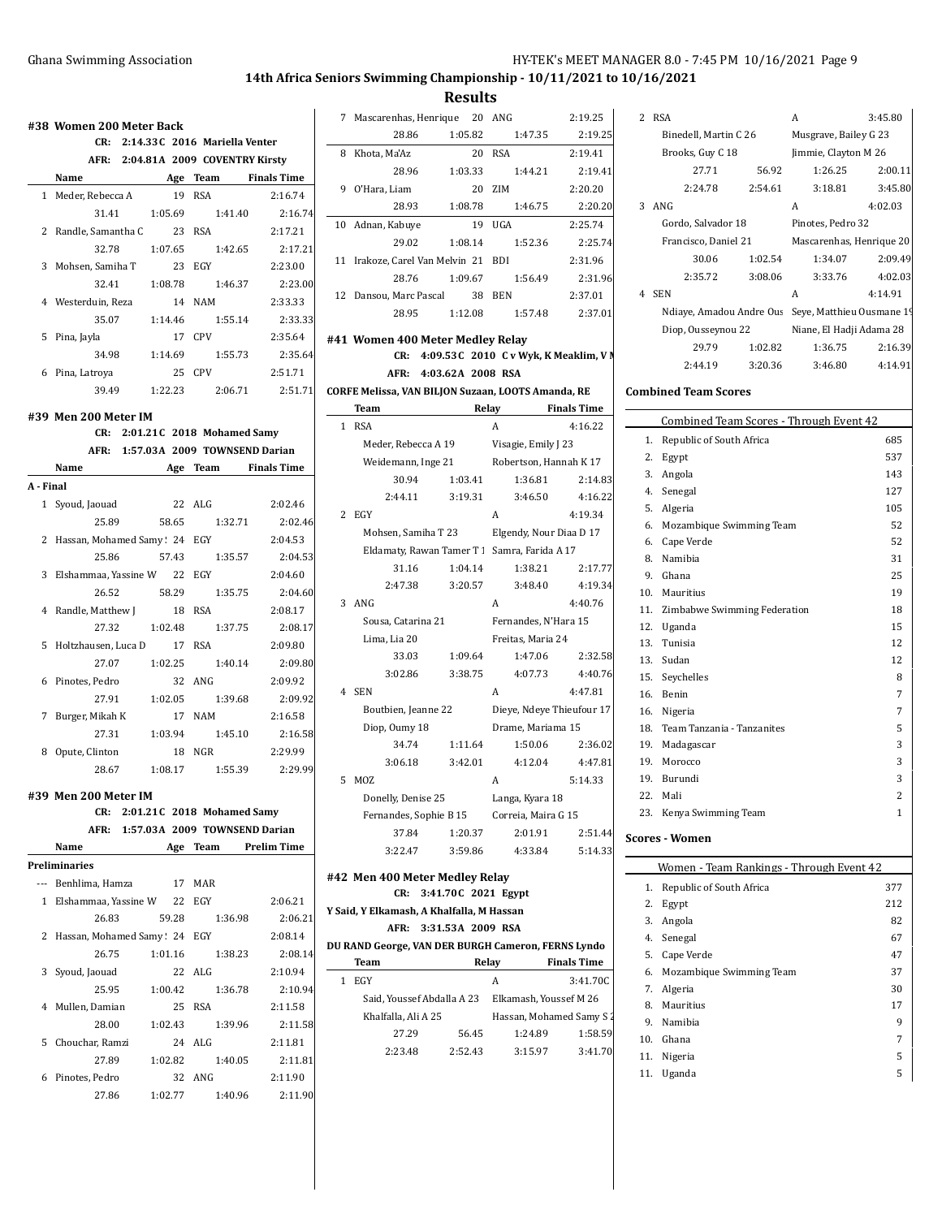## Ghana Swimming Association **HY-TEK's MEET MANAGER 8.0 - 7:45 PM 10/16/2021** Page 9

## **14th Africa Seniors Swimming Championship - 10/11/2021 to 10/16/2021**

**Results**

|   | #38 Women 200 Meter Back       |         |                                                                  |                               |
|---|--------------------------------|---------|------------------------------------------------------------------|-------------------------------|
|   |                                |         | CR: 2:14.33C 2016 Mariella Venter                                |                               |
|   |                                |         | AFR: 2:04.81A 2009 COVENTRY Kirsty                               |                               |
|   | Name Age Team Finals Time      |         | 19 RSA                                                           |                               |
|   | 1 Meder, Rebecca A             |         |                                                                  | 2:16.74                       |
|   | 31.41 1:05.69                  |         | 1:41.40                                                          | 2:16.74                       |
|   | 2 Randle, Samantha C 23 RSA    |         |                                                                  | 2:17.21                       |
|   | 32.78                          | 1:07.65 | 1:42.65                                                          | 2:17.21                       |
|   | 3 Mohsen, Samiha T             |         | 23 EGY                                                           | 2:23.00                       |
|   | 32.41                          | 1:08.78 | 1:46.37                                                          | 2:23.00                       |
|   | 4 Westerduin, Reza             | 14 NAM  |                                                                  | 2:33.33                       |
|   |                                |         | 35.07   1:14.46   1:55.14                                        | 2:33.33                       |
|   | 5 Pina, Jayla                  |         | 17 CPV                                                           | 2:35.64                       |
|   |                                |         | 34.98 1:14.69 1:55.73                                            | 2:35.64                       |
|   | 6 Pina, Latroya                | 25 CPV  |                                                                  | 2:51.71                       |
|   |                                |         |                                                                  | 39.49 1:22.23 2:06.71 2:51.71 |
|   | #39 Men 200 Meter IM           |         |                                                                  |                               |
|   |                                |         | CR: 2:01.21C 2018 Mohamed Samy                                   |                               |
|   |                                |         | AFR: 1:57.03A 2009 TOWNSEND Darian                               |                               |
|   | Name                           |         | Age Team Finals Time                                             |                               |
|   | A - Final                      |         |                                                                  |                               |
|   | 1 Syoud, Jaouad                | 22 ALG  |                                                                  | 2:02.46                       |
|   | 25.89                          |         | 58.65 1:32.71                                                    | 2:02.46                       |
|   | 2 Hassan, Mohamed Samy: 24 EGY |         |                                                                  | 2:04.53                       |
|   | 25.86                          | 57.43   | 1:35.57                                                          | 2:04.53                       |
|   | 3 Elshammaa, Yassine W 22 EGY  |         |                                                                  | 2:04.60                       |
|   | 26.52                          | 58.29   | 1:35.75                                                          | 2:04.60                       |
|   | 4 Randle, Matthew J            |         | 18 RSA                                                           | 2:08.17                       |
|   | 27.32                          | 1:02.48 | 1:37.75                                                          | 2:08.17                       |
|   | 5 Holtzhausen, Luca D          | 17 RSA  |                                                                  | 2:09.80                       |
|   | 27.07                          | 1:02.25 | 1:40.14                                                          | 2:09.80                       |
|   | 6 Pinotes, Pedro               |         | 32 ANG                                                           | 2:09.92                       |
|   | 27.91                          |         | 1:02.05 1:39.68                                                  | 2:09.92                       |
|   | 7 Burger, Mikah K              | 17 NAM  |                                                                  | 2:16.58                       |
|   | 27.31                          |         | 1:03.94 1:45.10                                                  | 2:16.58                       |
| 8 | Opute, Clinton                 |         | 18 NGR                                                           | 2:29.99                       |
|   | 28.67                          | 1:08.17 | 1:55.39                                                          | 2:29.99                       |
|   |                                |         |                                                                  |                               |
|   | #39 Men 200 Meter IM           |         |                                                                  |                               |
|   | CR:                            |         | 2:01.21C 2018 Mohamed Samy<br>AFR: 1:57.03A 2009 TOWNSEND Darian |                               |
|   | Name                           |         | Age Team Prelim Time                                             |                               |
|   | Preliminaries                  |         |                                                                  |                               |
|   | --- Benhlima, Hamza            | 17 MAR  |                                                                  |                               |
|   | 1 Elshammaa, Yassine W 22 EGY  |         |                                                                  | 2:06.21                       |
|   | 26.83                          | 59.28   | 1:36.98                                                          | 2:06.21                       |
| 2 | Hassan, Mohamed Samy: 24 EGY   |         |                                                                  | 2:08.14                       |
|   | 26.75                          |         |                                                                  |                               |
|   |                                | 1:01.16 | 1:38.23<br>22 ALG                                                | 2:08.14                       |
| 3 | Syoud, Jaouad                  |         |                                                                  | 2:10.94                       |
|   | 25.95                          | 1:00.42 | 1:36.78                                                          | 2:10.94                       |
| 4 | Mullen, Damian                 |         | 25 RSA                                                           | 2:11.58                       |
|   | 28.00                          | 1:02.43 | 1:39.96                                                          | 2:11.58                       |
|   | 5 Chouchar, Ramzi              |         | 24 ALG                                                           | 2:11.81                       |
|   |                                |         |                                                                  |                               |
|   | 27.89                          | 1:02.82 | 1:40.05                                                          | 2:11.81                       |
|   | 6 Pinotes, Pedro               |         | 32 ANG                                                           | 2:11.90                       |

| 7                                                                | Mascarenhas, Henrique 20 ANG                       |                   |                                                | 2:19.25            | 2      |  |
|------------------------------------------------------------------|----------------------------------------------------|-------------------|------------------------------------------------|--------------------|--------|--|
|                                                                  | 28.86                                              | 1:05.82           | 1:47.35                                        | 2:19.25            |        |  |
| 8                                                                | Khota, Ma'Az                                       | 20                | <b>RSA</b>                                     | 2:19.41            |        |  |
|                                                                  | 28.96                                              | 1:03.33           | 1:44.21                                        | 2:19.41            |        |  |
| 9                                                                | O'Hara, Liam                                       | 20                | ZIM                                            | 2:20.20            |        |  |
|                                                                  | 28.93                                              | 1:08.78           | 1:46.75                                        | 2:20.20            | 3      |  |
| 10                                                               | Adnan, Kabuye                                      | 19                | UGA                                            | 2:25.74            |        |  |
|                                                                  | 29.02                                              | 1:08.14           | 1:52.36                                        | 2:25.74            |        |  |
| 11                                                               | Irakoze, Carel Van Melvin 21                       |                   | <b>BDI</b>                                     | 2:31.96            |        |  |
|                                                                  | 28.76                                              | 1:09.67           | 1:56.49                                        | 2:31.96            |        |  |
| 12                                                               | Dansou, Marc Pascal                                | 38                | <b>BEN</b>                                     | 2:37.01            | 4      |  |
|                                                                  | 28.95                                              | 1:12.08           | 1:57.48                                        | 2:37.01            |        |  |
|                                                                  | #41 Women 400 Meter Medley Relay                   |                   |                                                |                    |        |  |
|                                                                  | CR:                                                |                   | 4:09.53 C 2010 C v Wyk, K Meaklim, V N         |                    |        |  |
|                                                                  | AFR:                                               | 4:03.62A 2008 RSA |                                                |                    |        |  |
|                                                                  | CORFE Melissa, VAN BILJON Suzaan, LOOTS Amanda, RE |                   |                                                |                    | Con    |  |
|                                                                  | Team                                               | Relay             |                                                | <b>Finals Time</b> |        |  |
| 1                                                                | <b>RSA</b>                                         |                   | A                                              | 4:16.22            |        |  |
|                                                                  | Meder, Rebecca A 19                                |                   | Visagie, Emily J 23                            |                    |        |  |
|                                                                  | Weidemann, Inge 21                                 |                   | Robertson, Hannah K 17                         |                    |        |  |
|                                                                  | 30.94                                              | 1:03.41           | 1:36.81                                        | 2:14.83            |        |  |
|                                                                  | 2:44.11                                            | 3:19.31           | 3:46.50                                        | 4:16.22            |        |  |
| 2                                                                | EGY                                                |                   | A                                              | 4:19.34            |        |  |
|                                                                  | Mohsen, Samiha T 23                                |                   | Elgendy, Nour Diaa D 17                        |                    |        |  |
|                                                                  | Eldamaty, Rawan Tamer T 1 Samra, Farida A 17       |                   |                                                |                    |        |  |
|                                                                  | 31.16                                              | 1:04.14           | 1:38.21                                        | 2:17.77            |        |  |
|                                                                  | 2:47.38                                            | 3:20.57           | 3:48.40                                        | 4:19.34            | 1      |  |
| 3                                                                | ANG                                                |                   | A                                              | 4:40.76            | 1      |  |
|                                                                  | Sousa, Catarina 21                                 |                   | Fernandes, N'Hara 15                           |                    | 1      |  |
|                                                                  | Lima, Lia 20                                       |                   | Freitas, Maria 24                              |                    | 1      |  |
|                                                                  | 33.03                                              | 1:09.64           | 1.47.06                                        | 2:32.58            | 1      |  |
|                                                                  | 3:02.86                                            | 3:38.75           | 4:07.73                                        | 4:40.76            | 1      |  |
| 4                                                                | <b>SEN</b>                                         |                   | A                                              | 4:47.81            | 1      |  |
|                                                                  | Boutbien, Jeanne 22                                |                   | Dieye, Ndeye Thieufour 17<br>Drame, Mariama 15 |                    | 1      |  |
|                                                                  | Diop, Oumy 18<br>34.74                             | 1:11.64           | 1:50.06                                        | 2:36.02            | 1<br>1 |  |
|                                                                  | 3:06.18                                            | 3:42.01           | 4:12.04                                        | 4:47.81            | 1      |  |
| 5                                                                | M07.                                               |                   | A                                              | 5:14.33            | 1      |  |
|                                                                  | Donelly, Denise 25                                 |                   | Langa, Kyara 18                                |                    | 2      |  |
|                                                                  | Fernandes, Sophie B 15                             |                   | Correia, Maira G 15                            |                    | 2      |  |
|                                                                  | 37.84                                              | 1:20.37           | 2:01.91                                        | 2:51.44            |        |  |
|                                                                  | 3:22.47                                            | 3:59.86           | 4:33.84                                        | 5:14.33            | Scot   |  |
|                                                                  |                                                    |                   |                                                |                    |        |  |
|                                                                  | #42 Men 400 Meter Medley Relay<br>CR:              |                   |                                                |                    |        |  |
| 3:41.70C 2021 Egypt<br>Y Said, Y Elkamash, A Khalfalla, M Hassan |                                                    |                   |                                                |                    |        |  |
|                                                                  | AFR:                                               | 3:31.53A 2009 RSA |                                                |                    |        |  |
|                                                                  |                                                    |                   |                                                |                    |        |  |

**DU RAND George, VAN DER BURGH Cameron, FERNS Lyndo**

| Team                       |         | Relay   | <b>Finals Time</b>       |
|----------------------------|---------|---------|--------------------------|
| EGY                        |         | A       | 3:41.70C                 |
| Said, Youssef Abdalla A 23 |         |         | Elkamash, Youssef M 26   |
| Khalfalla, Ali A 25        |         |         | Hassan, Mohamed Samy S 2 |
| 27.29                      | 56.45   | 1:24.89 | 1:58.59                  |
| 2:23.48                    | 2:52.43 | 3:15.97 | 3:41.70                  |
|                            |         |         |                          |

| $\mathcal{L}$ | <b>RSA</b>               |         | A                         | 3:45.80 |  |
|---------------|--------------------------|---------|---------------------------|---------|--|
|               | Binedell, Martin C 26    |         | Musgrave, Bailey G 23     |         |  |
|               | Brooks, Guy C 18         |         | Jimmie, Clayton M 26      |         |  |
|               | 27.71                    | 56.92   | 1:26.25                   | 2:00.11 |  |
|               | 2:24.78                  | 2:54.61 | 3:18.81                   | 3:45.80 |  |
| 3             | ANG                      |         | A                         | 4:02.03 |  |
|               | Gordo, Salvador 18       |         | Pinotes, Pedro 32         |         |  |
|               | Francisco, Daniel 21     |         | Mascarenhas, Henrique 20  |         |  |
|               | 30.06                    | 1:02.54 | 1:34.07                   | 2:09.49 |  |
|               | 2:35.72                  | 3:08.06 | 3:33.76                   | 4:02.03 |  |
| 4             | <b>SEN</b>               |         | A                         | 4:14.91 |  |
|               | Ndiaye, Amadou Andre Ous |         | Seye, Matthieu Ousmane 19 |         |  |
|               | Diop, Ousseynou 22       |         | Niane, El Hadji Adama 28  |         |  |
|               | 29.79                    | 1:02.82 | 1:36.75                   | 2:16.39 |  |
|               | 2:44.19                  | 3:20.36 | 3:46.80                   | 4:14.91 |  |

## **Combined Team Scores**

|     | <b>Combined Team Scores - Through Event 42</b> |                |
|-----|------------------------------------------------|----------------|
| 1.  | Republic of South Africa                       | 685            |
| 2.  | Egypt                                          | 537            |
| 3.  | Angola                                         | 143            |
| 4.  | Senegal                                        | 127            |
| 5.  | Algeria                                        | 105            |
| 6.  | Mozambique Swimming Team                       | 52             |
| 6.  | Cape Verde                                     | 52             |
| 8   | Namibia                                        | 31             |
| 9.  | Ghana                                          | 25             |
| 10. | Mauritius                                      | 19             |
| 11. | Zimbabwe Swimming Federation                   | 18             |
| 12. | Uganda                                         | 15             |
| 13. | Tunisia                                        | 12             |
|     | 13. Sudan                                      | 12             |
| 15. | Seychelles                                     | 8              |
|     | 16. Benin                                      | 7              |
|     | 16. Nigeria                                    | 7              |
| 18. | Team Tanzania - Tanzanites                     | 5              |
| 19. | Madagascar                                     | 3              |
| 19. | Morocco                                        | 3              |
| 19  | Burundi                                        | 3              |
|     | 22 Mali                                        | $\overline{2}$ |
| 23. | Kenya Swimming Team                            | 1              |
|     |                                                |                |

## **Scores - Women**

| Women - Team Rankings - Through Event 42 |                          |     |  |  |  |
|------------------------------------------|--------------------------|-----|--|--|--|
| 1.                                       | Republic of South Africa | 377 |  |  |  |
| 2.                                       | Egypt                    | 212 |  |  |  |
| 3.                                       | Angola                   | 82  |  |  |  |
| 4.                                       | Senegal                  | 67  |  |  |  |
| 5.                                       | Cape Verde               | 47  |  |  |  |
| 6.                                       | Mozambique Swimming Team | 37  |  |  |  |
| 7.                                       | Algeria                  | 30  |  |  |  |
| 8.                                       | Mauritius                | 17  |  |  |  |
| 9.                                       | Namibia                  | 9   |  |  |  |
| 10.                                      | Ghana                    | 7   |  |  |  |
| 11.                                      | Nigeria                  | 5   |  |  |  |
| 11.                                      | Uganda                   | 5   |  |  |  |